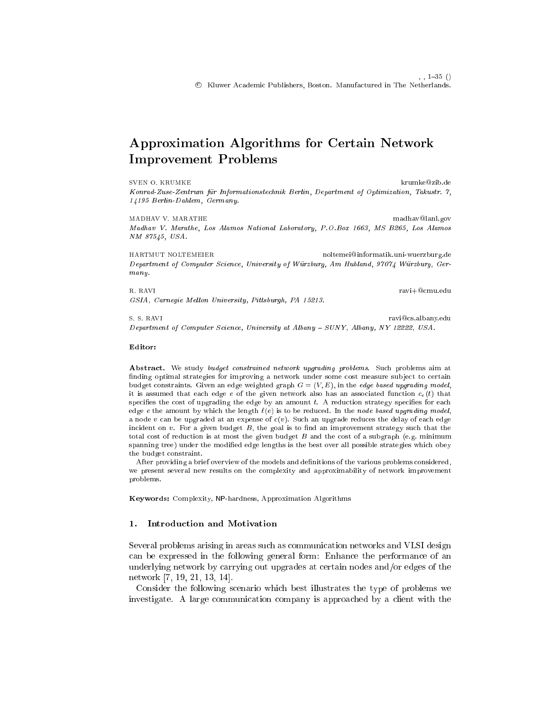# Approximation Algorithms for Certain Network Improvement Problems

SVEN O. KRUMKE krumke@zib.de Konrad-Zuse-Zentrum fur Informationstechnik Berlin, Department of Optimization, Takustr. 7, 14195 Berlin-Dahlem, Germany.

MADHAV V. MARATHE madhav@lanl.gov Madhav V. Marathe, Los Alamos National Laboratory, P.O.Box 1663, MS B265, Los Alamos NM 87545, USA.

HARTMUT NOLTEMEIER noltemei@informatik.uni-wuerzburg.de Department of Computer Science, University of Wurzburg, Am Hubland, 97074 Wurzburg, Ger $manu$ . many.

R. RAVI ravi+@cmu.edu GSIA, Carnegie Mellon University, Pittsburgh, PA 15213.

S. S. RAVI ravi@cs.albany.edu Department of Computer Science, University at Albany - SUNY, Albany, NY 12222, USA.

#### Editor:

Abstract. We study budget constrained network upgrading problems. Such problems aim at finding optimal strategies for improving a network under some cost measure subject to certain budget constraints. Given an edge weighted graph  $G = (V, E)$ , in the *edge based upgrading model*, it is assumed that each edge e of the given network also has an associated function  $c_e(t)$  that specifies the cost of upgrading the edge by an amount  $t$ . A reduction strategy specifies for each edge e the amount by which the length  $\ell(e)$  is to be reduced. In the node based upgrading model, a node v can be upgraded at an expense of  $c(v)$ . Such an upgrade reduces the delay of each edge incident on  $v$ . For a given budget  $B$ , the goal is to find an improvement strategy such that the total cost of reduction is at most the given budget  $B$  and the cost of a subgraph (e.g. minimum spanning tree) under the modied edge lengths is the best over all possible strategies which obey the budget constraint.

After providing a brief overview of the models and definitions of the various problems considered, we present several new results on the complexity and approximability of network improvement problems.

Keywords: Complexity, NP-hardness, Approximation Algorithms

#### 1. Introduction and Motivation

Several problems arising in areas such as communication networks and VLSI design can be expressed in the following general form: Enhance the performance of an underlying network by carrying out upgrades at certain nodes and/or edges of the network [7, 19, 21, 13, 14].

Consider the following scenario which best illustrates the type of problems we investigate. A large communication company is approached by a client with the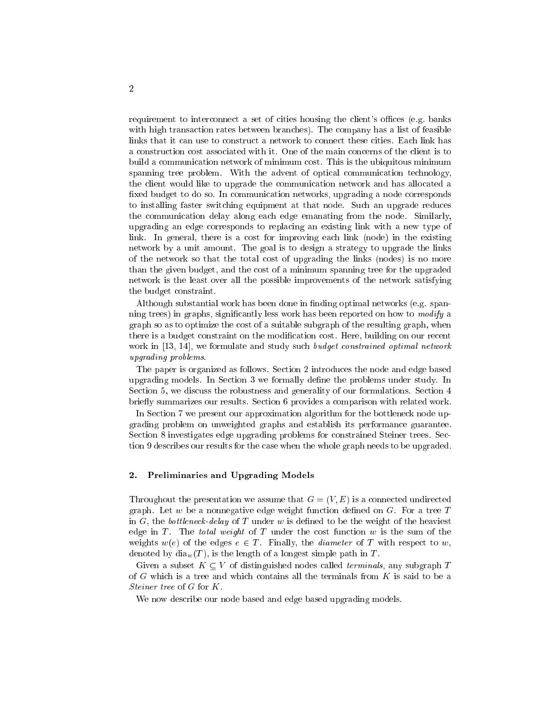requirement to interconnect a set of cities housing the client's offices (e.g. banks with high transaction rates between branches). The company has a list of feasible links that it can use to construct a network to connect these cities. Each link has a construction cost associated with it. One of the main concerns of the client is to build a communication network of minimum cost. This is the ubiquitous minimum spanning tree problem. With the advent of optical communication technology, the client would like to upgrade the communication network and has allocated a fixed budget to do so. In communication networks, upgrading a node corresponds to installing faster switching equipment at that node. Such an upgrade reduces the communication delay along each edge emanating from the node. Similarly, upgrading an edge corresponds to replacing an existing link with a new type of link. In general, there is a cost for improving each link (node) in the existing network by a unit amount. The goal is to design a strategy to upgrade the links of the network so that the total cost of upgrading the links (nodes) is no more than the given budget, and the cost of a minimum spanning tree for the upgraded network is the least over all the possible improvements of the network satisfying the budget constraint.

Although substantial work has been done in finding optimal networks (e.g. spanning trees) in graphs, signicantly less work has been reported on how to modify a graph so as to optimize the cost of a suitable subgraph of the resulting graph, when there is a budget constraint on the modication cost. Here, building on our recent work in [13, 14], we formulate and study such *budget constrained optimal network* upgrading problems.

The paper is organized as follows. Section 2 introduces the node and edge based upgrading models. In Section 3 we formally define the problems under study. In Section 5, we discuss the robustness and generality of our formulations. Section 4 briefly summarizes our results. Section 6 provides a comparison with related work.

In Section 7 we present our approximation algorithm for the bottleneck node upgrading problem on unweighted graphs and establish its performance guarantee. Section 8 investigates edge upgrading problems for constrained Steiner trees. Section 9 describes our results for the case when the whole graph needs to be upgraded.

### 2. Preliminaries and Upgrading Models

Throughout the presentation we assume that  $G = (V, E)$  is a connected undirected graph. Let w be a nonnegative edge weight function defined on  $G$ . For a tree T in G, the bottleneck-delay of T under w is defined to be the weight of the heaviest edge in T. The total weight of T under the cost function  $w$  is the sum of the weights  $w(e)$  of the edges  $e \in T$ . Finally, the *diameter* of T with respect to w, denoted by  $\text{dia}_w(T)$ , is the length of a longest simple path in T.

Given a subset  $K \subseteq V$  of distinguished nodes called *terminals*, any subgraph T of <sup>G</sup> which is a tree and which contains all the terminals from <sup>K</sup> is said to be a Steiner tree of <sup>G</sup> for K.

We now describe our node based and edge based upgrading models.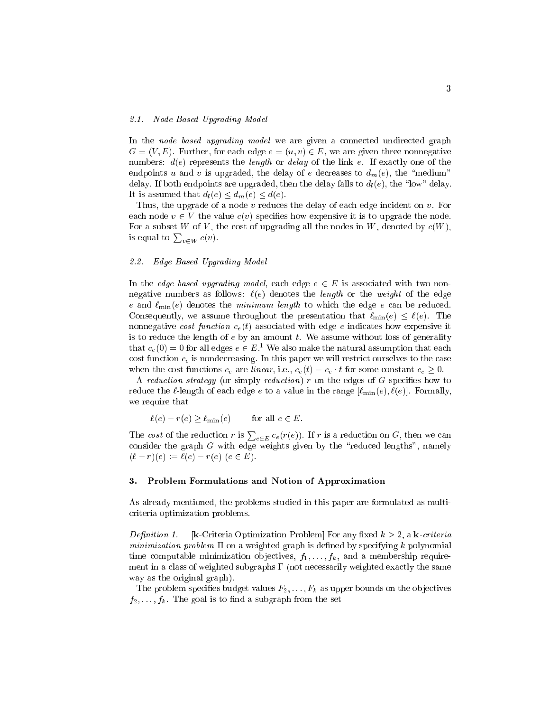#### 2.1. Node Based Upgrading Model

In the node based upgrading model we are given a connected undirected graph  $G = (V, E)$ . Further, for each edge  $e = (u, v) \in E$ , we are given three nonnegative numbers:  $d(e)$  represents the *length* or *delay* of the link e. If exactly one of the endpoints u and v is upgraded, the delay of e decreases to  $d_m(e)$ , the "medium" delay. If both endpoints are upgraded, then the delay falls to  $d_l(e)$ , the "low" delay. It is assumed that  $d_l(e) \leq d_m(e) \leq d(e)$ .

Thus, the upgrade of a node v reduces the delay of each edge incident on v. For each node  $v \in V$  the value  $c(v)$  specifies how expensive it is to upgrade the node. For a subset W of V, the cost of upgrading all the nodes in W, denoted by  $c(W)$ , is equal to  $\sum_{v \in W} c(v)$ .

#### 2.2. Edge Based Upgrading Model

In the *edge based upgrading model*, each edge  $e \in E$  is associated with two nonnegative numbers as follows:  $\ell(e)$  denotes the length or the weight of the edge e and  $\ell_{\min}(e)$  denotes the minimum length to which the edge e can be reduced. Consequently, we assume throughout the presentation that  $\ell_{\min}(e) \leq \ell(e)$ . The nonnegative cost function  $c_e(t)$  associated with edge e indicates how expensive it is to reduce the length of  $e$  by an amount  $t$ . We assume without loss of generality that  $c_e(0) = 0$  for all edges  $e \in E$ . We also make the natural assumption that each cost function  $c_e$  is nondecreasing. In this paper we will restrict ourselves to the case when the cost functions  $c_e$  are *linear*, i.e.,  $c_e(t) = c_e \cdot t$  for some constant  $c_e \geq 0$ .

A reduction strategy (or simply reduction)  $r$  on the edges of  $G$  specifies how to reduce the  $\ell$ -length of each edge  $e$  to a value in the range  $[\ell_{\min}(e), \ell(e)]$ . Formally, we require that

$$
\ell(e) - r(e) \ge \ell_{\min}(e) \quad \text{for all } e \in E.
$$

The cost of the reduction r is  $\sum_{e \in E} c_e(r(e))$ . If r is a reduction on G, then we can consider the graph <sup>G</sup> with edge weights given by the \reduced lengths", namely  $(\ell - r)(e) := \ell(e) - r(e) \ (e \in E).$ 

#### 3. Problem Formulations and Notion of Approximation

As already mentioned, the problems studied in this paper are formulated as multicriteria optimization problems.

*Definition 1.* [**k**-Criteria Optimization Problem] For any fixed  $k \geq 2$ , a **k**-criteria minimization problem  $\Pi$  on a weighted graph is defined by specifying k polynomial time computable minimization objectives,  $f_1, \ldots, f_k$ , and a membership requirement in a class of weighted subgraphs  $\Gamma$  (not necessarily weighted exactly the same way as the original graph).

The problem specifies budget values  $F_2, \ldots, F_k$  as upper bounds on the objectives  $f_2, \ldots, f_k$ . The goal is to find a subgraph from the set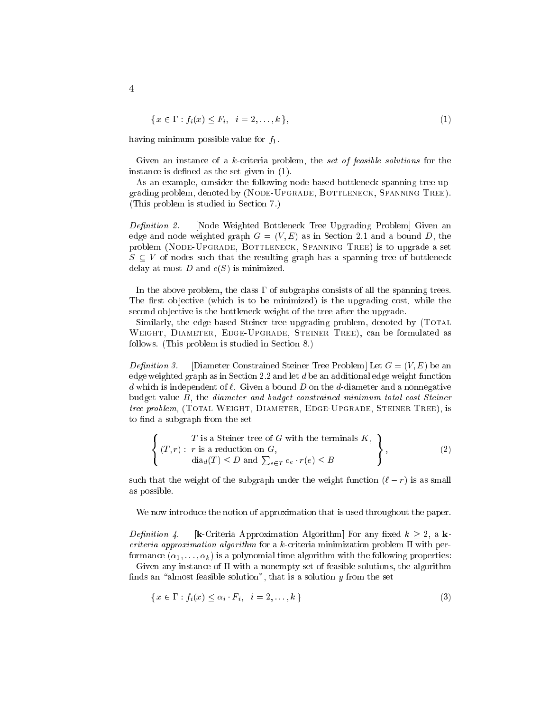$$
\{x \in \Gamma : f_i(x) \le F_i, \quad i = 2, \dots, k\},\tag{1}
$$

having minimum possible value for  $f_1$ .

Given an instance of a k-criteria problem, the set of feasible solutions for the instance is defined as the set given in  $(1)$ .

As an example, consider the following node based bottleneck spanning tree upgrading problem, denoted by (NODE-UPGRADE, BOTTLENECK, SPANNING TREE). (This problem is studied in Section 7.)

Definition 2. [Node Weighted Bottleneck Tree Upgrading Problem] Given an edge and node weighted graph  $G = (V, E)$  as in Section 2.1 and a bound D, the problem (NODE-UPGRADE, BOTTLENECK, SPANNING TREE) is to upgrade a set  $S \subseteq V$  of nodes such that the resulting graph has a spanning tree of bottleneck delay at most  $D$  and  $c(S)$  is minimized.

In the above problem, the class  $\Gamma$  of subgraphs consists of all the spanning trees. The first objective (which is to be minimized) is the upgrading cost, while the second ob jective is the bottleneck weight of the tree after the upgrade.

Similarly, the edge based Steiner tree upgrading problem, denoted by (TOTAL Weight, Diameter, Edge-Upgrade, Steiner Tree), can be formulated as follows. (This problem is studied in Section 8.)

*Definition 3.* [Diameter Constrained Steiner Tree Problem] Let  $G = (V, E)$  be an edge weighted graph as in Section 2.2 and let  $d$  be an additional edge weight function d which is independent of  $\ell$ . Given a bound D on the d-diameter and a nonnegative budget value B, the diameter and budget constrained minimum total cost Steiner tree problem, (TOTAL WEIGHT, DIAMETER, EDGE-UPGRADE, STEINER TREE), is to find a subgraph from the set

$$
\left\{ \begin{array}{c} T \text{ is a Steiner tree of } G \text{ with the terminals } K, \\ (T, r) : r \text{ is a reduction on } G, \\ \text{dia}_{d}(T) \leq D \text{ and } \sum_{e \in T} c_e \cdot r(e) \leq B \end{array} \right\},
$$
 (2)

such that the weight of the subgraph under the weight function  $(\ell - r)$  is as small as possible.

We now introduce the notion of approximation that is used throughout the paper.

*Definition 4.* [k-Criteria Approximation Algorithm] For any fixed  $k \geq 2$ , a kcriteria approximation algorithm for a k-criteria minimization problem  $\Pi$  with performance  $(\alpha_1, \ldots, \alpha_k)$  is a polynomial time algorithm with the following properties:

Given any instance of  $\Pi$  with a nonempty set of feasible solutions, the algorithm finds an "almost feasible solution", that is a solution  $y$  from the set

$$
\{x \in \Gamma : f_i(x) \le \alpha_i \cdot F_i, \quad i = 2, \dots, k\}
$$
\n
$$
(3)
$$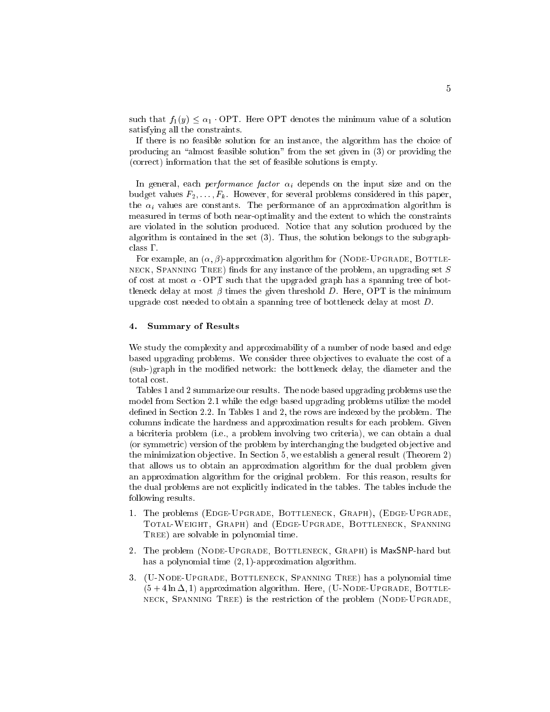such that  $f_1(y) \leq \alpha_1$ . OPT. Here OPT denotes the minimum value of a solution satisfying all the constraints.

If there is no feasible solution for an instance, the algorithm has the choice of producing an "almost feasible solution" from the set given in  $(3)$  or providing the (correct) information that the set of feasible solutions is empty.

In general, each *performance factor*  $\alpha_i$  depends on the input size and on the budget values  $F_2, \ldots, F_k$ . However, for several problems considered in this paper, the  $\alpha_i$  values are constants. The performance of an approximation algorithm is measured in terms of both near-optimality and the extent to which the constraints are violated in the solution produced. Notice that any solution produced by the algorithm is contained in the set (3). Thus, the solution belongs to the subgraph $class \Gamma$ .

For example, an  $(\alpha, \beta)$ -approximation algorithm for (NODE-UPGRADE, BOTTLE-NECK, SPANNING TREE) finds for any instance of the problem, an upgrading set  $S$ of cost at most  $\alpha$  OPT such that the upgraded graph has a spanning tree of bottleneck delay at most  $\beta$  times the given threshold D. Here, OPT is the minimum upgrade cost needed to obtain a spanning tree of bottleneck delay at most D.

#### 4. Summary of Results

We study the complexity and approximability of a number of node based and edge based upgrading problems. We consider three ob jectives to evaluate the cost of a (sub-)graph in the modied network: the bottleneck delay, the diameter and the total cost.

Tables 1 and 2 summarize our results. The node based upgrading problems use the model from Section 2.1 while the edge based upgrading problems utilize the model defined in Section 2.2. In Tables 1 and 2, the rows are indexed by the problem. The columns indicate the hardness and approximation results for each problem. Given a bicriteria problem (i.e., a problem involving two criteria), we can obtain a dual (or symmetric) version of the problem by interchanging the budgeted ob jective and the minimization ob jective. In Section 5, we establish a general result (Theorem 2) that allows us to obtain an approximation algorithm for the dual problem given an approximation algorithm for the original problem. For this reason, results for the dual problems are not explicitly indicated in the tables. The tables include the following results.

- 1. The problems (EDGE-UPGRADE, BOTTLENECK, GRAPH), (EDGE-UPGRADE, Total-Weight, Graph) and (Edge-Upgrade, Bottleneck, Spanning TREE) are solvable in polynomial time.
- 2. The problem (NODE-UPGRADE, BOTTLENECK, GRAPH) is MaxSNP-hard but has a polynomial time  $(2, 1)$ -approximation algorithm.
- 3. (U-Node-Upgrade, Bottleneck, Spanning Tree) has a polynomial time  $(5 + 4 \ln \Delta, 1)$  approximation algorithm. Here, (U-NODE-UPGRADE, BOTTLEneck, Spanning Tree) is the restriction of the problem (Node-Upgrade,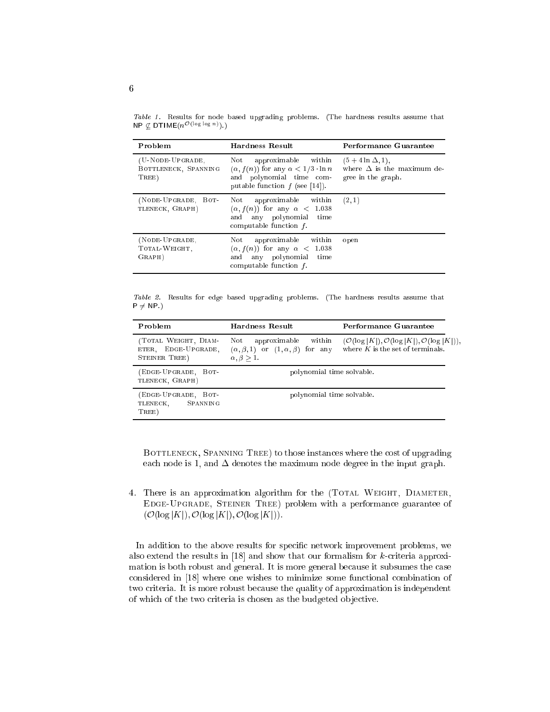Table 1. Results for node based upgrading problems. (The hardness results assume that  $\mathsf{N}$ P $\downarrow$  DTIME( $n$ <sup>-</sup>  $\cdots$ <sup>o-o-o</sup>).)

| Problem                                           | Hardness Result                                                                                                                                | Performance Guarantee                                                               |
|---------------------------------------------------|------------------------------------------------------------------------------------------------------------------------------------------------|-------------------------------------------------------------------------------------|
| (U-NODE-UPGRADE,<br>BOTTLENECK, SPANNING<br>TREE) | Not approximable within<br>$(\alpha, f(n))$ for any $\alpha < 1/3 \cdot \ln n$<br>and polynomial time com-<br>putable function $f$ (see [14]). | $(5 + 4 \ln \Delta, 1),$<br>where $\Delta$ is the maximum de-<br>gree in the graph. |
| (NODE-UPGRADE, BOT-<br>TLENECK, GRAPH)            | Not approximable within<br>$(\alpha, f(n))$ for any $\alpha < 1.038$<br>and any polynomial time<br>computable function $f$ .                   | (2, 1)                                                                              |
| (NODE-UPGRADE,<br>TOTAL-WEIGHT.<br>GRAPH)         | Not approximable within<br>$(\alpha, f(n))$ for any $\alpha < 1.038$<br>and any polynomial time<br>computable function $f$ .                   | open                                                                                |

Table 2. Results for edge based upgrading problems. (The hardness results assume that  $P \neq NP.$ 

| Problem                                                      | Hardness Result                                                                                                | Performance Guarantee                                                                                          |
|--------------------------------------------------------------|----------------------------------------------------------------------------------------------------------------|----------------------------------------------------------------------------------------------------------------|
| (TOTAL WEIGHT, DIAM-<br>ETER, EDGE-UPGRADE,<br>STEINER TREE) | approximable<br>within<br>Not<br>$(\alpha, \beta, 1)$ or $(1, \alpha, \beta)$ for any<br>$\alpha, \beta > 1$ . | $(\mathcal{O}(\log  K ), \mathcal{O}(\log  K ), \mathcal{O}(\log  K )),$<br>where $K$ is the set of terminals. |
| (EDGE-UPGRADE, BOT-<br>TLENECK, GRAPH)                       | polynomial time solvable.                                                                                      |                                                                                                                |
| (EDGE-UPGRADE, BOT-<br>SPANNING<br>TLENECK,<br>TREE)         | polynomial time solvable.                                                                                      |                                                                                                                |

BOTTLENECK, SPANNING TREE) to those instances where the cost of upgrading each node is 1, and  $\Delta$  denotes the maximum node degree in the input graph.

4. There is an approximation algorithm for the (TOTAL WEIGHT, DIAMETER, Edge-Upgrade, Steiner Tree) problem with a performance guarantee of  $(\mathcal{O}(\log |K|), \mathcal{O}(\log |K|), \mathcal{O}(\log |K|)).$ 

In addition to the above results for specific network improvement problems, we also extend the results in [18] and show that our formalism for k-criteria approximation is both robust and general. It is more general because it subsumes the case considered in [18] where one wishes to minimize some functional combination of two criteria. It is more robust because the quality of approximation is independent of which of the two criteria is chosen as the budgeted ob jective.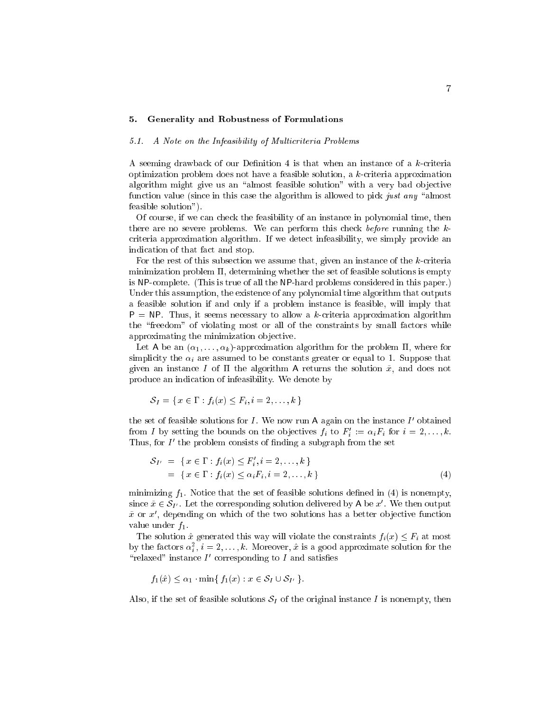### 5. Generality and Robustness of Formulations

#### 5.1. A Note on the Infeasibility of Multicriteria Problems

A seeming drawback of our Definition 4 is that when an instance of a  $k$ -criteria optimization problem does not have a feasible solution, a k-criteria approximation algorithm might give us an "almost feasible solution" with a very bad objective function value (since in this case the algorithm is allowed to pick just any "almost feasible solution").

Of course, if we can check the feasibility of an instance in polynomial time, then there are no severe problems. We can perform this check before running the kcriteria approximation algorithm. If we detect infeasibility, we simply provide an indication of that fact and stop.

For the rest of this subsection we assume that, given an instance of the k-criteria minimization problem  $\Pi$ , determining whether the set of feasible solutions is empty is NP-complete. (This is true of all the NP-hard problems considered in this paper.) Under this assumption, the existence of any polynomial time algorithm that outputs a feasible solution if and only if a problem instance is feasible, will imply that  $P = NP$ . Thus, it seems necessary to allow a k-criteria approximation algorithm the \freedom" of violating most or all of the constraints by small factors while approximating the minimization objective.

Let A be an  $(\alpha_1, \ldots, \alpha_k)$ -approximation algorithm for the problem  $\Pi$ , where for simplicity the  $\alpha_i$  are assumed to be constants greater or equal to 1. Suppose that given an instance I of  $\Pi$  the algorithm A returns the solution  $\tilde{x}$ , and does not produce an indication of infeasibility. We denote by

$$
\mathcal{S}_I = \{ x \in \Gamma : f_i(x) \leq F_i, i = 2, \ldots, k \}
$$

the set of feasible solutions for I. We now run A again on the instance I' obtained from 1 by setting the bounds on the objectives  $f_i$  to  $F_i := \alpha_i F_i$  for  $i = 2, \ldots, \kappa$ . I mus, for I when problem consists of imiding a subgraph from the set

$$
S_{I'} = \{ x \in \Gamma : f_i(x) \le F'_i, i = 2, ..., k \}
$$
  
= \{ x \in \Gamma : f\_i(x) \le \alpha\_i F\_i, i = 2, ..., k \} (4)

minimizing  $f_1$ . Notice that the set of feasible solutions defined in (4) is nonempty, since  $\tilde{x} \in \mathcal{S}_{I'}$ . Let the corresponding solution delivered by A be x'. We then output  $x$  or  $x$  , depending on which of the two solutions has a better objective function value under  $f_1$ .

The solution  $\hat{x}$  generated this way will violate the constraints  $f_i(x) \leq F_i$  at most by the factors  $a_{\bar{i}}$ ,  $i = 2, \ldots, \kappa$ . Moreover, x is a good approximate solution for the  $\Gamma$  relaxed instance I corresponding to I and satisfies

$$
f_1(\hat{x}) \le \alpha_1 \cdot \min\{f_1(x) : x \in \mathcal{S}_I \cup \mathcal{S}_{I'}\}.
$$

Also, if the set of feasible solutions  $S_I$  of the original instance I is nonempty, then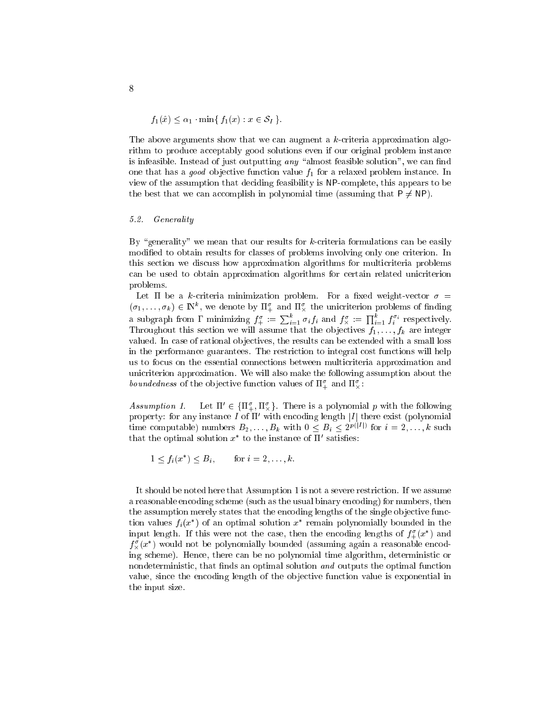$$
f_1(\hat{x}) \le \alpha_1 \cdot \min\{f_1(x) : x \in \mathcal{S}_I\}.
$$

The above arguments show that we can augment a k-criteria approximation algorithm to produce acceptably good solutions even if our original problem instance is infeasible. Instead of just outputting  $any$  "almost feasible solution", we can find one that has a *good* objective function value  $f_1$  for a relaxed problem instance. In view of the assumption that deciding feasibility is NP-complete, this appears to be the best that we can accomplish in polynomial time (assuming that  $P \neq NP$ ).

#### 5.2. Generality

By "generality" we mean that our results for  $k$ -criteria formulations can be easily modied to obtain results for classes of problems involving only one criterion. In this section we discuss how approximation algorithms for multicriteria problems can be used to obtain approximation algorithms for certain related unicriterion problems.

Let  $\Pi$  be a k-criteria minimization problem. For a fixed weight-vector  $\sigma =$  $(\sigma_1,\ldots,\sigma_k)\in\mathbb{N}$ , we denote by  $\Pi_+$  and  $\Pi_\chi$  the unicriterion problems of imding a subgraph from  $\Gamma$  minimizing  $f_+^{\sigma} := \sum_{i=1}^{\kappa} \sigma_i f_i$  and  $f_{\times}^{\sigma} := \prod_{i=1}^{\kappa} f_i^{\sigma_i}$  respectively. Throughout this section we will assume that the objectives  $f_1, \ldots, f_k$  are integer valued. In case of rational objectives, the results can be extended with a small loss in the performance guarantees. The restriction to integral cost functions will help us to focus on the essential connections between multicriteria approximation and unicriterion approximation. We will also make the following assumption about the *boundeaness* of the objective function values of  $\mathbf{H}_{+}$  and  $\mathbf{H}_{\times}$ :

Assumption 1.  $\in \{\mathbf{H}_{+}, \mathbf{H}_{\times}\}\$ . There is a polynomial p with the following property: for any instance  $\overline{I}$  of  $\Pi'$  with encoding length |I| there exist (polynomial time computable) numbers  $D_2, \ldots, D_k$  with  $0 \leq D_i \leq 2^{F(i+1)}$  for  $i = 2, \ldots, k$  such that the optimal solution  $x$  to the instance of  $\pi$  satisfies:

$$
1 \le f_i(x^*) \le B_i, \quad \text{for } i = 2, \dots, k.
$$

It should be noted here that Assumption 1 is not a severe restriction. If we assume a reasonable encoding scheme (such as the usual binary encoding) for numbers, then the assumption merely states that the encoding lengths of the single ob jective function values  $f_i(x)$  of an optimal solution  $x$  -remain polynomially bounded in the input length. If this were not the case, then the encoding lengths of  $f_{\pm}(x)$  and  $f_{\infty}(x_{-})$  would not be polynomially bounded (assuming again a reasonable encoding scheme). Hence, there can be no polynomial time algorithm, deterministic or nondeterministic, that finds an optimal solution and outputs the optimal function value, since the encoding length of the ob jective function value is exponential in the input size.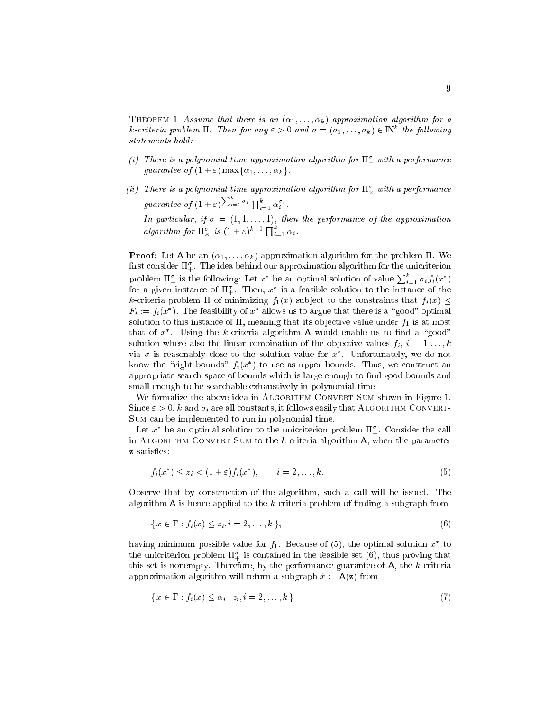THEOREM 1 Assume that there is an  $(\alpha_1, \ldots, \alpha_k)$ -approximation algorithm for a  $\kappa$ -criteria problem  $\Pi$ . Then for any  $\varepsilon>0$  and  $\sigma=(\sigma_1,\ldots,\sigma_k)\in\mathbb{N}^+$  the following

- $\mu$  in the result of polynomial time approximation algorithm for  $\mathrm{n}_+$  with a performance guarantee of  $(1 + \varepsilon)$  max $\{\alpha_1, \ldots, \alpha_k\}.$
- $\mu$  ) There is a polynomial time approximation algorithm for  $\text{H}_{\infty}^{\times}$  with a performance  $\tau$  and  $\tau$  is the contract of  $\tau$  $\rightarrow$  $i=2\frac{\sigma_i}{\prod_{i=1}^{\kappa}\alpha_i^{\sigma_i}}$ .

In particular, if = (1; 1; : : : ; 1), then the performance of the approximation algorithm for  $\Pi_{\times}^{\sigma}$  is  $(1+\varepsilon)^{k-1} \prod_{i=1}^{k} \alpha_i$ .

**Proof:** Let A be an  $(\alpha_1, \ldots, \alpha_k)$ -approximation algorithm for the problem  $\Pi$ . We  $\max$  consider  $\mathbf{n}_+$ . The idea behind our approximation algorithm for the unicriterion problem  $\Pi^{\sigma}_+$  is the following: Let  $x^*$  be an optimal solution of value  $\sum_{i=1}^{\kappa} \sigma_i f_i(x^*)$ for a given instance of  $\mathfrak{u}_+$ . Then,  $x$  is a feasible solution to the instance of the k-criteria problem  $\Pi$  of minimizing  $f_1(x)$  subject to the constraints that  $f_i(x) \leq$  $F_i := f_i(x)$ . The feasibility of x allows us to argue that there is a  $\gamma$  good optimal solution to this instance of  $\Pi$ , meaning that its objective value under  $f_1$  is at most that of  $x^*$ . Using the k-criteria algorithm A would enable us to find a "good" solution where also the linear combination of the objective values  $f_i, i = 1 \ldots, k$ via  $\sigma$  is reasonably close to the solution value for  $x$  . Unfortunately, we do not know the right bounds  $f_i(x)$  to use as upper bounds. Thus, we construct an appropriate search space of bounds which is large enough to find good bounds and small enough to be searchable exhaustively in polynomial time.

We formalize the above idea in ALGORITHM CONVERT-SUM shown in Figure 1. Since  $\varepsilon > 0$ , k and  $\sigma_i$  are all constants, it follows easily that ALGORITHM CONVERT-Sum can be implemented to run in polynomial time.

Let  $x$  be an optimal solution to the unicriterion problem  $\mathfrak{u}_+$ . Consider the call in ALGORITHM CONVERT-SUM to the  $k$ -criteria algorithm  $A$ , when the parameter z satisfies:

$$
f_i(x^*) \le z_i < (1+\varepsilon)f_i(x^*), \qquad i=2,\ldots,k. \tag{5}
$$

Observe that by construction of the algorithm, such a call will be issued. The algorithm  $A$  is hence applied to the  $k$ -criteria problem of finding a subgraph from

$$
\{x \in \Gamma : f_i(x) \le z_i, i = 2, \dots, k\},\tag{6}
$$

having minimum possible value for  $f_1$ . Decause of (5), the optimal solution  $x$  to the unicriterion problem  $\Pi_+^+$  is contained in the reasible set  $(0),$  thus proving that this set is nonempty. Therefore, by the performance guarantee of A, the k-criteria approximation algorithm will return a subgraph  $\hat{x} := A(z)$  from

$$
\{x \in \Gamma : f_i(x) \le \alpha_i \cdot z_i, i = 2, \dots, k\}
$$
\n
$$
(7)
$$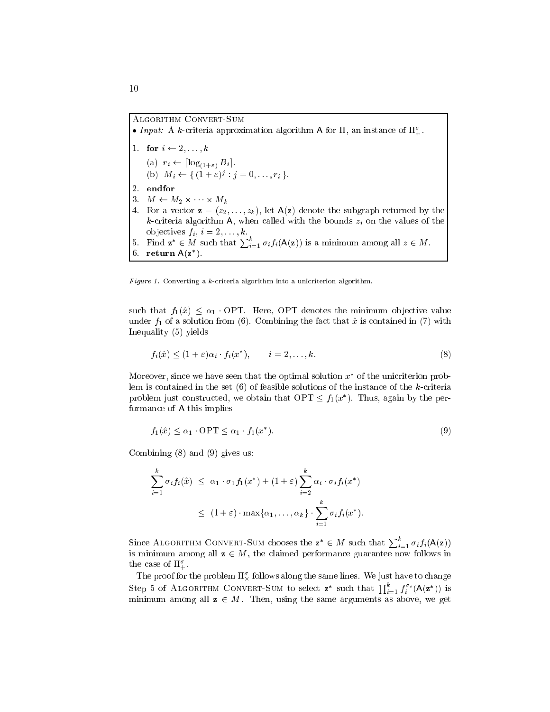# Algorithm Convert-Sum

- Input: A k-criteria approximation algorithm A for  $\Pi$ , an instance of  $\Pi^{\sigma}_+$ .
- 1. for  $i \leftarrow 2, \ldots, k$  $\zeta^{-1}$   $\zeta^{-1}$   $\zeta^{-1}$   $\zeta^{-1}$   $\zeta^{-1}$   $\zeta^{-1}$ (b)  $M_i \leftarrow \{ (1 + \varepsilon)^s : j = 0, \ldots, r_i \}$ . 2. endfor 3. M M2 - M 4. For a vector  $\mathbf{z} = (z_2, \ldots, z_k)$ , let  $\mathsf{A}(\mathbf{z})$  denote the subgraph returned by the k-criteria algorithm A, when called with the bounds  $z_i$  on the values of the ob jectives final property in the 20st of the 20st of the 20st of the 20st of the 20st of the 20st of the 20st 5. Find  $\mathbf{z}^* \in M$  such that  $\sum_{i=1}^k \sigma_i f_i(\mathsf{A}(\mathbf{z}))$  is a minimum among all  $z \in M$ . 6. return  $A(z^*)$ .

Figure 1. Converting a  $k$ -criteria algorithm into a unicriterion algorithm.

such that  $f_1(\hat{x}) \leq \alpha_1$ . OPT. Here, OPT denotes the minimum objective value under  $f_1$  of a solution from (6). Combining the fact that  $\hat{x}$  is contained in (7) with Inequality (5) yields

$$
f_i(\hat{x}) \le (1+\varepsilon)\alpha_i \cdot f_i(x^*), \qquad i=2,\ldots,k. \tag{8}
$$

Moreover, since we have seen that the optimal solution  $x$  for the unicriterion problem is contained in the set  $(6)$  of feasible solutions of the instance of the k-criteria problem just constructed, we obtain that  $\text{OF I} \leq f_1(x)$ . Thus, again by the performance of A this implies

$$
f_1(\hat{x}) \le \alpha_1 \quad \text{OPT} \le \alpha_1 \cdot f_1(x^*). \tag{9}
$$

Combining (8) and (9) gives us:

$$
\sum_{i=1}^{k} \sigma_i f_i(\hat{x}) \leq \alpha_1 \cdot \sigma_1 f_1(x^*) + (1+\varepsilon) \sum_{i=2}^{k} \alpha_i \cdot \sigma_i f_i(x^*)
$$
  

$$
\leq (1+\varepsilon) \cdot \max\{\alpha_1, \dots, \alpha_k\} \cdot \sum_{i=1}^{k} \sigma_i f_i(x^*).
$$

Since ALGORITHM CONVERT-SUM chooses the  $\mathbf{z}^* \in M$  such that  $\sum_{i=1}^{\kappa} \sigma_i f_i(\mathsf{A}(\mathbf{z}))$ is minimum among all  $z \in M$ , the claimed performance guarantee now follows in  $\mu_{\text{m}}$  case of  $\mu_{\text{m}}$ .

The proof for the problem  $\pi_\chi^*$  follows along the same lines. We just have to change Step 5 of ALGORITHM CONVERT-SUM to select  $z^*$  such that  $\prod_{i=1}^k f_i^{\sigma_i}(\mathsf{A}(z^*))$  is minimum among all  $z \in M$ . Then, using the same arguments as above, we get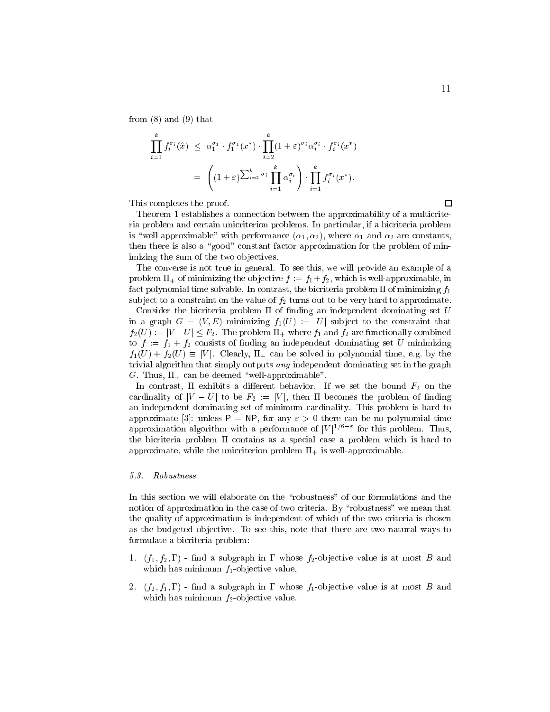from  $(8)$  and  $(9)$  that

$$
\prod_{i=1}^k f_i^{\sigma_i}(\hat{x}) \leq \alpha_1^{\sigma_1} \cdot f_1^{\sigma_1}(x^*) \cdot \prod_{i=2}^k (1+\varepsilon)^{\sigma_i} \alpha_i^{\sigma_i} \cdot f_i^{\sigma_i}(x^*)
$$
\n
$$
= \left( (1+\varepsilon)^{\sum_{i=2}^k \sigma_i} \prod_{i=1}^k \alpha_i^{\sigma_i} \right) \cdot \prod_{i=1}^k f_i^{\sigma_i}(x^*).
$$

This completes the proof.

Theorem 1 establishes a connection between the approximability of a multicriteria problem and certain unicriterion problems. In particular, if a bicriteria problem is "well approximable" with performance  $(\alpha_1, \alpha_2)$ , where  $\alpha_1$  and  $\alpha_2$  are constants, then there is also a "good" constant factor approximation for the problem of minimizing the sum of the two objectives.

The converse is not true in general. To see this, we will provide an example of a problem  $\Pi_+$  of minimizing the objective  $f := f_1 + f_2$ , which is well-approximable, in fact polynomial time solvable. In contrast, the bicriteria problem  $\Pi$  of minimizing  $f_1$ subject to a constraint on the value of  $f_2$  turns out to be very hard to approximate.

Consider the bicriteria problem  $\Pi$  of finding an independent dominating set  $U$ in a graph  $G = (V, E)$  minimizing  $f_1(U) := |U|$  subject to the constraint that  $f_2(U) := |V-U| \leq F_2$ . The problem  $\Pi_+$  where  $f_1$  and  $f_2$  are functionally combined to  $f := f_1 + f_2$  consists of finding an independent dominating set U minimizing  $f_1(U) + f_2(U) \equiv |V|$ . Clearly,  $\Pi_+$  can be solved in polynomial time, e.g. by the trivial algorithm that simply outputs any independent dominating set in the graph G. Thus,  $\Pi_+$  can be deemed "well-approximable".

In contrast,  $\Pi$  exhibits a different behavior. If we set the bound  $F_2$  on the cardinality of  $|V-U|$  to be  $F_2 := |V|$ , then  $\Pi$  becomes the problem of finding an independent dominating set of minimum cardinality. This problem is hard to approximate [3]: unless  $P = NP$ , for any  $\varepsilon > 0$  there can be no polynomial time approximation algorithm with a performance of  $|V|$   $\prime$  . For this problem. Thus, the bicriteria problem  $\Pi$  contains as a special case a problem which is hard to approximate, while the unicriterion problem  $\Pi_{+}$  is well-approximable.

#### 5.3. Robustness

In this section we will elaborate on the "robustness" of our formulations and the notion of approximation in the case of two criteria. By "robustness" we mean that the quality of approximation is independent of which of the two criteria is chosen as the budgeted ob jective. To see this, note that there are two natural ways to formulate a bicriteria problem:

- 1.  $(f_1, f_2, \Gamma)$  find a subgraph in  $\Gamma$  whose  $f_2$ -objective value is at most B and which has minimum  $f_1$ -objective value,
- 2.  $(f_2, f_1, \Gamma)$  find a subgraph in  $\Gamma$  whose  $f_1$ -objective value is at most B and which has minimum  $f_2$ -objective value.

 $\Box$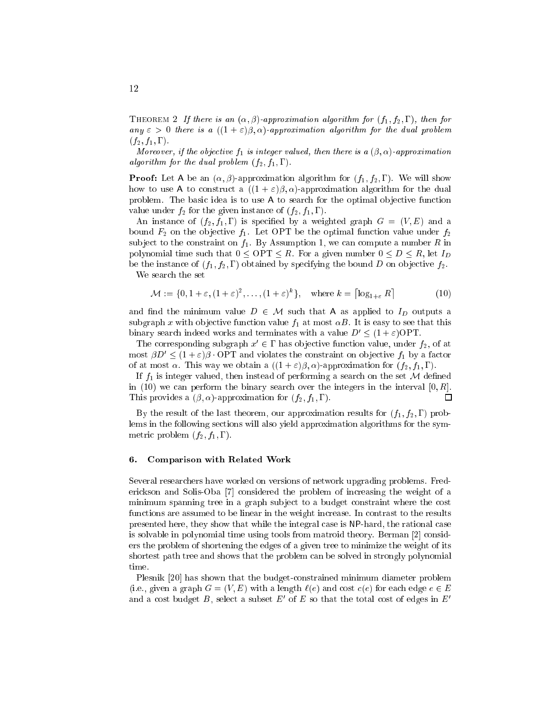THEOREM 2 If there is an  $(\alpha, \beta)$ -approximation algorithm for  $(f_1, f_2, \Gamma)$ , then for any  $\varepsilon > 0$  there is a  $((1 + \varepsilon)\beta, \alpha)$ -approximation algorithm for the dual problem  $(f_2, f_1, \Gamma)$ .

Moreover, if the objective  $f_1$  is integer valued, then there is a  $(\beta, \alpha)$ -approximation algorithm for the dual problem  $(f_2, f_1, \Gamma)$ .

**Proof:** Let A be an  $(\alpha, \beta)$ -approximation algorithm for  $(f_1, f_2, \Gamma)$ . We will show how to use A to construct a  $((1 + \varepsilon)\beta, \alpha)$ -approximation algorithm for the dual problem. The basic idea is to use  $A$  to search for the optimal objective function value under  $f_2$  for the given instance of  $(f_2, f_1, \Gamma)$ .

An instance of  $(f_2, f_1, \Gamma)$  is specified by a weighted graph  $G = (V, E)$  and a bound  $F_2$  on the objective  $f_1$ . Let OPT be the optimal function value under  $f_2$ subject to the constraint on  $f_1$ . By Assumption 1, we can compute a number R in polynomial time such that  $0 \leq \text{OPT} \leq R$ . For a given number  $0 \leq D \leq R$ , let  $I_D$ be the instance of  $(f_1, f_2, \Gamma)$  obtained by specifying the bound D on objective  $f_2$ .

We search the set

$$
\mathcal{M} := \{0, 1 + \varepsilon, (1 + \varepsilon)^2, \dots, (1 + \varepsilon)^k\}, \quad \text{where } k = \lceil \log_{1+\varepsilon} R \rceil \tag{10}
$$

and find the minimum value  $D \in \mathcal{M}$  such that A as applied to  $I_D$  outputs a subgraph x with objective function value  $f_1$  at most  $\alpha B$ . It is easy to see that this binary search indeed works and terminates with a value  $D' \leq (1 + \varepsilon)$  OPT.

The corresponding subgraph  $x \in I$  has objective function value, under  $f_2$ , of at most  $\beta D' \leq (1+\varepsilon)\beta \cdot \text{OPT}$  and violates the constraint on objective  $f_1$  by a factor of at most  $\alpha$ . This way we obtain a  $((1 + \varepsilon)\beta, \alpha)$ -approximation for  $(f_2, f_1, \Gamma)$ .

If  $f_1$  is integer valued, then instead of performing a search on the set M defined in (10) we can perform the binary search over the integers in the interval  $[0, R]$ . This provides a  $(\beta, \alpha)$ -approximation for  $(f_2, f_1, \Gamma)$ . □

By the result of the last theorem, our approximation results for  $(f_1, f_2, \Gamma)$  problems in the following sections will also yield approximation algorithms for the symmetric problem  $(f_2, f_1, \Gamma)$ .

#### 6. Comparison with Related Work

Several researchers have worked on versions of network upgrading problems. Frederickson and Solis-Oba [7] considered the problem of increasing the weight of a minimum spanning tree in a graph subject to a budget constraint where the cost functions are assumed to be linear in the weight increase. In contrast to the results presented here, they show that while the integral case is NP-hard, the rational case is solvable in polynomial time using tools from matroid theory. Berman [2] considers the problem of shortening the edges of a given tree to minimize the weight of its shortest path tree and shows that the problem can be solved in strongly polynomial time.

Plesnik [20] has shown that the budget-constrained minimum diameter problem (i.e., given a graph  $G = (V, E)$  with a length  $\ell(e)$  and cost  $c(e)$  for each edge  $e \in E$ and a cost budget  $D$ , select a subset  $E$  of  $E$  so that the total cost of edges in  $E$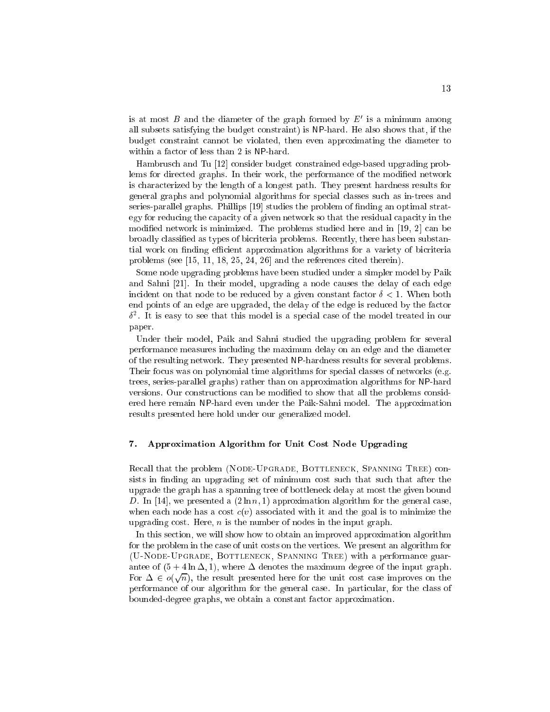is at most  $D$  and the diameter of the graph formed by  $E$  is a minimum among all subsets satisfying the budget constraint) is NP-hard. He also shows that, if the budget constraint cannot be violated, then even approximating the diameter to within a factor of less than 2 is NP-hard.

Hambrusch and Tu [12] consider budget constrained edge-based upgrading problems for directed graphs. In their work, the performance of the modified network is characterized by the length of a longest path. They present hardness results for general graphs and polynomial algorithms for special classes such as in-trees and series-parallel graphs. Phillips [19] studies the problem of finding an optimal strategy for reducing the capacity of a given network so that the residual capacity in the modied network is minimized. The problems studied here and in [19, 2] can be broadly classied as types of bicriteria problems. Recently, there has been substantial work on finding efficient approximation algorithms for a variety of bicriteria problems (see [15, 11, 18, 25, 24, 26] and the references cited therein).

Some node upgrading problems have been studied under a simpler model by Paik and Sahni [21]. In their model, upgrading a node causes the delay of each edge incident on that node to be reduced by a given constant factor  $\delta < 1$ . When both end points of an edge are upgraded, the delay of the edge is reduced by the factor <sup>2</sup> . It is easy to see that this model is a special case of the model treated in our paper.

Under their model, Paik and Sahni studied the upgrading problem for several performance measures including the maximum delay on an edge and the diameter of the resulting network. They presented NP-hardness results for several problems. Their focus was on polynomial time algorithms for special classes of networks (e.g. trees, series-parallel graphs) rather than on approximation algorithms for NP-hard versions. Our constructions can be modied to show that all the problems considered here remain NP-hard even under the Paik-Sahni model. The approximation results presented here hold under our generalized model.

## 7. Approximation Algorithm for Unit Cost Node Upgrading

Recall that the problem (NODE-UPGRADE, BOTTLENECK, SPANNING TREE) consists in finding an upgrading set of minimum cost such that such that after the upgrade the graph has a spanning tree of bottleneck delay at most the given bound D. In [14], we presented a  $(2 \ln n, 1)$  approximation algorithm for the general case, when each node has a cost  $c(v)$  associated with it and the goal is to minimize the upgrading cost. Here,  $n$  is the number of nodes in the input graph.

In this section, we will show how to obtain an improved approximation algorithm for the problem in the case of unit costs on the vertices. We present an algorithm for (U-Node-Upgrade, Bottleneck, Spanning Tree) with a performance guarantee of  $(5 + 4 \ln \Delta, 1)$ , where  $\Delta$  denotes the maximum degree of the input graph. For  $\Delta \in o(\sqrt{n})$ , the result presented here for the unit cost case improves on the performance of our algorithm for the general case. In particular, for the class of bounded-degree graphs, we obtain a constant factor approximation.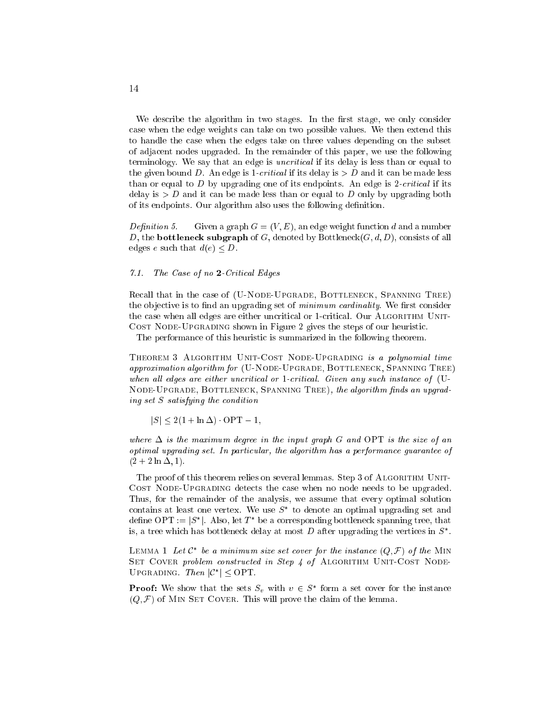We describe the algorithm in two stages. In the first stage, we only consider case when the edge weights can take on two possible values. We then extend this to handle the case when the edges take on three values depending on the subset of adjacent nodes upgraded. In the remainder of this paper, we use the following terminology. We say that an edge is uncritical if its delay is less than or equal to the given bound D. An edge is 1-*critical* if its delay is  $> D$  and it can be made less than or equal to  $D$  by upgrading one of its endpoints. An edge is 2-*critical* if its delay is  $> D$  and it can be made less than or equal to D only by upgrading both of its endpoints. Our algorithm also uses the following definition.

Definition 5. Given a graph  $G = (V, E)$ , an edge weight function d and a number D, the **bottleneck subgraph** of G, denoted by Bottleneck $(G, d, D)$ , consists of all edges e such that  $d(e) \leq D$ .

#### 7.1. The Case of no 2-Critical Edges

Recall that in the case of (U-NODE-UPGRADE, BOTTLENECK, SPANNING TREE) the objective is to find an upgrading set of *minimum cardinality*. We first consider the case when all edges are either uncritical or 1-critical. Our ALGORITHM UNIT-COST NODE-UPGRADING shown in Figure 2 gives the steps of our heuristic.

The performance of this heuristic is summarized in the following theorem.

THEOREM 3 ALGORITHM UNIT-COST NODE-UPGRADING is a polynomial time approximation algorithm for (U-NODE-UPGRADE, BOTTLENECK, SPANNING TREE) when all edges are either uncritical or 1-critical. Given any such instance of  $(U-$ NODE-UPGRADE, BOTTLENECK, SPANNING TREE), the algorithm finds an upgrading set <sup>S</sup> satisfying the condition

 $|S| \leq 2(1 + \ln \Delta) \cdot \text{OPT} - 1$ ,

where  $\Delta$  is the maximum degree in the input graph G and OPT is the size of an optimal upgrading set. In particular, the algorithm has a performance guarantee of  $(2 + 2 \ln \Delta, 1).$ 

The proof of this theorem relies on several lemmas. Step 3 of ALGORITHM UNIT-Cost Node-Upgrading detects the case when no node needs to be upgraded. Thus, for the remainder of the analysis, we assume that every optimal solution contains at least one vertex. We use  $S_{\perp}$  to denote an optimal upgrading set and define OPT :  $\equiv$   $\beta$  ]. Also, let T we a corresponding bottleneck spanning tree, that is, a tree which has bottleneck delay at most  $D$  after upgrading the vertices in  $S$ .

**LEMMA 1 Let C** be a minimum size set cover for the instance  $(Q, \mathcal{F})$  of the MIN SET COVER problem constructed in Step 4 of ALGORITHM UNIT-COST NODE-UPGRADING. *I nen*  $|U| \leq$  OF 1.

**Proof:** We show that the sets  $S_v$  with  $v \in S$  form a set cover for the instance  $(Q, \mathcal{F})$  of MIN SET COVER. This will prove the claim of the lemma.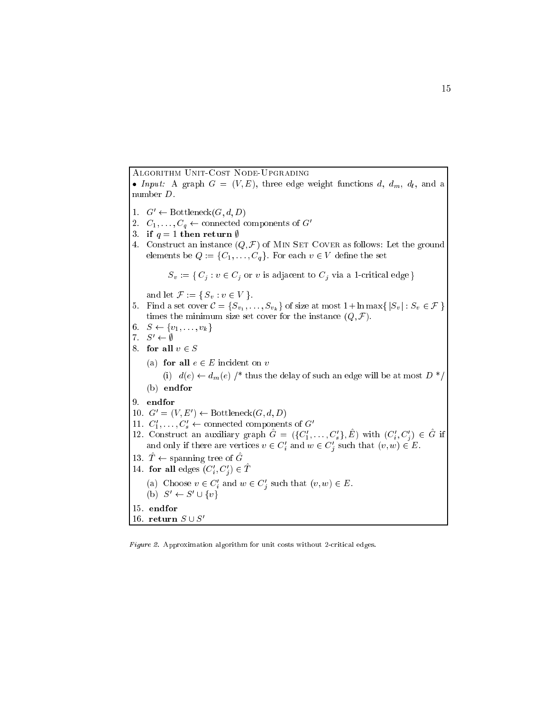Algorithm Unit-Cost Node-Upgrading

 Input: <sup>A</sup> graph <sup>G</sup> <sup>=</sup> (V ; E), three edge weight functions d, dm, dl , and <sup>a</sup> number D. 1.  $G' \leftarrow \text{Bottleneck}(G, d, D)$ 2.  $C_1, \ldots, C_q \leftarrow$  connected components of  $G'$ 3. if  $q = 1$  then return  $\emptyset$ 4. Construct an instance  $(Q, \mathcal{F})$  of MIN SET COVER as follows: Let the ground elements be  $Q := \{C_1, \ldots, C_q\}$ . For each  $v \in V$  define the set  $S_v := \{ C_j : v \in C_j \text{ or } v \text{ is adjacent to } C_j \text{ via a 1-critical edge} \}$ and let  $\mathcal{F} := \{ S_v : v \in V \}.$ 5. Find a set cover  $\mathcal{C} = \{S_{v_1}, \ldots, S_{v_k}\}\$  of size at most  $1 + \ln \max\{|S_v| : S_v \in \mathcal{F}\}\$ times the minimum size set cover for the instance  $(Q, \mathcal{F})$ . 6.  $S \leftarrow \{v_1, \ldots, v_k\}$ 7.  $S' \leftarrow \emptyset$ 8. for all  $v \in S$ (a) for all  $e \in E$  incident on v (i)  $d(e) \leftarrow d_m(e)$  /\* thus the delay of such an edge will be at most  $D^*$ (b) endfor 9. endfor  $10. \, G = (V, E) \leftarrow$  Dottleneck(G,  $d, D$ ) 11.  $C_1, \ldots, C_s$   $\leftarrow$  connected components of G 12. Construct an auxiliary graph  $G = (\{C_1, \ldots, C_s\}, E)$  with  $(C_i, C_j) \in G$  if and only if there are vertices  $v \in C_i$  and  $w \in C_j$  such that  $(v, w) \in E$ . 13.  $T \leftarrow$  spanning tree of G 14. for all edges  $(\cup_i, \cup_j) \in I$ (a) Choose  $v \in C_i$  and  $w \in C_j$  such that  $(v, w) \in E$ .  $(D)$   $S$   $\leftarrow$   $S$   $\cup$   $\{v\}$ 15. endfor 16. return  $S \cup S'$ 

Figure 2. Approximation algorithm for unit costs without 2-critical edges.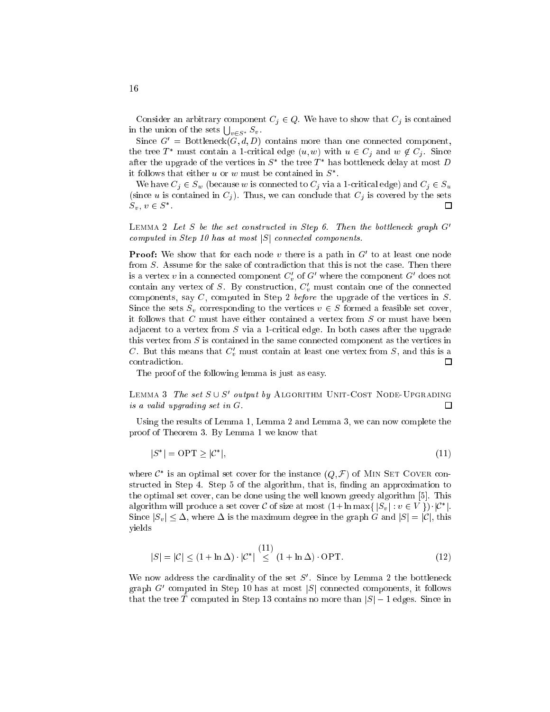Consider an arbitrary component  $C_j \in Q$ . We have to show that  $C_j$  is contained in the union of the sets  $\bigcup_{v \in S^*} S_v$ .

Since  $G' = \text{Bottleneck}(\tilde{G}, d, D)$  contains more than one connected component, the tree  $T^*$  must contain a 1-critical edge  $(u, w)$  with  $u \in C_j$  and  $w \notin C_j$ . Since after the upgrade of the vertices in  $S$  the tree  $I$  -has bottleneck delay at most  $D$ it follows that either  $u$  or  $w$  must be contained in  $S$  .

We have  $C_j \in S_w$  (because w is connected to  $C_j$  via a 1-critical edge) and  $C_j \in S_w$ (since u is contained in  $C_j$ ). Thus, we can conclude that  $C_j$  is covered by the sets □  $S_v, v \in S$  .

LEMMA 2 Let S be the set constructed in Step 6. Then the bottleneck graph  $G'$ computed in Step 10 has at most  $|S|$  connected components.

**Proof:** We snow that for each node  $v$  there is a path in  $G$  to at least one node from S. Assume for the sake of contradiction that this is not the case. Then there is a vertex  $v$  in a connected component  $C_v$  of  $G$  where the component  $G$  -does not contain any vertex of  $S$ . By construction,  $C_v$  must contain one of the connected components, say C, computed in Step 2 before the upgrade of the vertices in S. Since the sets  $S_v$  corresponding to the vertices  $v \in S$  formed a feasible set cover, it follows that <sup>C</sup> must have either contained a vertex from <sup>S</sup> or must have been adjacent to a vertex from  $S$  via a 1-critical edge. In both cases after the upgrade this vertex from <sup>S</sup> is contained in the same connected component as the vertices in  $C$ . But this means that  $C_v$  must contain at least one vertex from  $S$ , and this is a contradiction.  $\Box$ 

The proof of the following lemma is just as easy.

LEMMA 3 The set  $S \cup S$  output by Algorithm Unit-Cost Node-Upgrading is a valid upgrading set in G. □

Using the results of Lemma 1, Lemma 2 and Lemma 3, we can now complete the proof of Theorem 3. By Lemma 1 we know that

$$
|S^*| = \text{OPT} \ge |\mathcal{C}^*|,\tag{11}
$$

where  $C$  is an optimal set cover for the instance  $(Q, \mathcal{F})$  of Min Set Cover constructed in Step 4. Step 5 of the algorithm, that is, finding an approximation to the optimal set cover, can be done using the well known greedy algorithm [5]. This algorithm will produce a set cover C of size at most  $(1 + \ln \max\{ |S_v| : v \in V | \})$  |C | | |C Since  $|S_v| \leq \Delta$ , where  $\Delta$  is the maximum degree in the graph G and  $|S| = |\mathcal{C}|$ , this yields

$$
|S| = |\mathcal{C}| \le (1 + \ln \Delta) \cdot |\mathcal{C}^*| \stackrel{(11)}{\le} (1 + \ln \Delta) \cdot \text{OPT}.
$$
 (12)

We now address the cardinality of the set  $\beta$ . Since by Lemma 2 the bottleneck graph G0 computed in Step 10 has at most jSj connected components, it follows that the tree  $\hat{T}$  computed in Step 13 contains no more than  $|S| - 1$  edges. Since in

<sup>16</sup>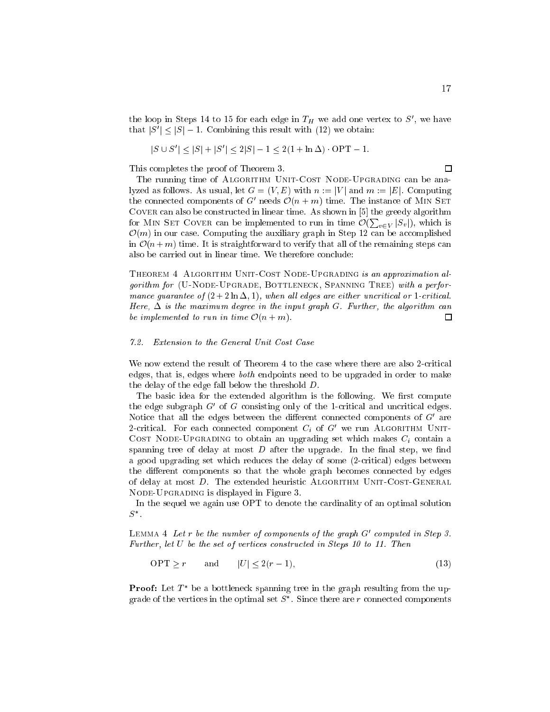the loop in Steps 14 to 15 for each edge in  $H$  we add one vertex to S , we have that  $|S| \leq |S| - 1$ . Combining this result with (12) we obtain:

$$
|S \cup S'| \le |S| + |S'| \le 2|S| - 1 \le 2(1 + \ln \Delta) \cdot \text{OPT} - 1.
$$

This completes the proof of Theorem 3.

The running time of ALGORITHM UNIT-COST NODE-UPGRADING can be analyzed as follows. As usual, let  $G = (V, E)$  with  $n := |V|$  and  $m := |E|$ . Computing the connected components of G- needs  $O(n + m)$  time. The instance of Min SET Cover can also be constructed in linear time. As shown in [5] the greedy algorithm for MIN SET COVER can be implemented to run in time  $\mathcal{O}(\sum_{v \in V} |S_v|)$ , which is  $\mathcal{O}(m)$  in our case. Computing the auxiliary graph in Step 12 can be accomplished in  $\mathcal{O}(n+m)$  time. It is straightforward to verify that all of the remaining steps can also be carried out in linear time. We therefore conclude:

THEOREM 4 ALGORITHM UNIT-COST NODE-UPGRADING is an approximation algorithm for (U-NODE-UPGRADE, BOTTLENECK, SPANNING TREE) with a performance guarantee of  $(2 + 2 \ln \Delta, 1)$ , when all edges are either uncritical or 1-critical. Here,  $\Delta$  is the maximum degree in the input graph G. Further, the algorithm can be implemented to run in time  $\mathcal{O}(n+m)$ . П

#### 7.2. Extension to the General Unit Cost Case

We now extend the result of Theorem 4 to the case where there are also 2-critical edges, that is, edges where both endpoints need to be upgraded in order to make the delay of the edge fall below the threshold D.

The basic idea for the extended algorithm is the following. We first compute the edge subgraph  $G_{\rm O}$  of  $G_{\rm}$  consisting only of the 1-critical and uncritical edges. Notice that all the edges between the different connected components of  $\boldsymbol{G}$  are  $z$ -critical. For each connected component  $\mathrm{C}_i$  of  $\mathrm{G}_i$  we run Algorithm Unit-COST NODE-UPGRADING to obtain an upgrading set which makes  $C_i$  contain a spanning tree of delay at most  $D$  after the upgrade. In the final step, we find a good upgrading set which reduces the delay of some (2-critical) edges between the different components so that the whole graph becomes connected by edges of delay at most D. The extended heuristic ALGORITHM UNIT-COST-GENERAL Node-Upgrading is displayed in Figure 3.

In the sequel we again use OPT to denote the cardinality of an optimal solution S .

 $L$ емм $A$  4 Let  $r$  be the number of components of the graph  $G$  -computed in Step 3. Further, let <sup>U</sup> be the set of vertices constructed in Steps 10 to 11. Then

 $\text{OPT} \ge r$  and  $|U| \le 2(r - 1),$  (13)

**Proof:** Let  $I$  be a bottleneck spanning tree in the graph resulting from the upgrade of the vertices in the optimal set  $S$  . Since there are r connected components

 $\Box$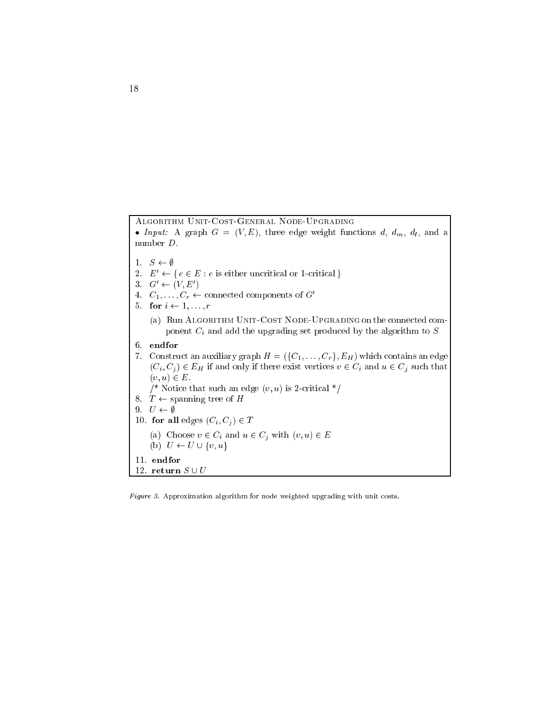Algorithm Unit-Cost-General Node-Upgrading Input: <sup>A</sup> graph <sup>G</sup> <sup>=</sup> (V ; E), three edge weight functions d, dm, dl , and <sup>a</sup> number D. 1.  $S \leftarrow \emptyset$ 2.  $E' \leftarrow \{ e \in E : e \text{ is either uncritical or 1-critical } \}$  $\mathfrak{c}_1 \subset \mathfrak{c}_2 \subset \mathfrak{c}_3$  (V, E) 4.  $C_1, \ldots, C_r \leftarrow$  connected components of  $G'$ 5. for  $i \leftarrow 1, \ldots, r$ (a) Run ALGORITHM UNIT-COST NODE-UPGRADING on the connected component  $C_i$  and add the upgrading set produced by the algorithm to  $S$ 6. endfor 7. Construct an auxiliary graph  $H = (\{C_1, \ldots, C_r\}, E_H)$  which contains an edge  $(C_i, C_j) \in E_H$  if and only if there exist vertices  $v \in C_i$  and  $u \in C_j$  such that  $(v, u) \in E$ . /\* Notice that such an edge  $(v, u)$  is 2-critical \*/ 8.  $T \leftarrow$  spanning tree of H 9.  $U \leftarrow \emptyset$ 10. for all edges  $(C_i, C_j) \in T$ (a) Choose v 2 Ci  $\ell$  and u 2 Ci with (v; u) 2  $=$  $\mathbf{v} = \mathbf{v}$  using  $\mathbf{v} = \mathbf{v}$ 11. endfor 12. return $S \cup U$ 

Figure 3. Approximation algorithm for node weighted upgrading with unit costs.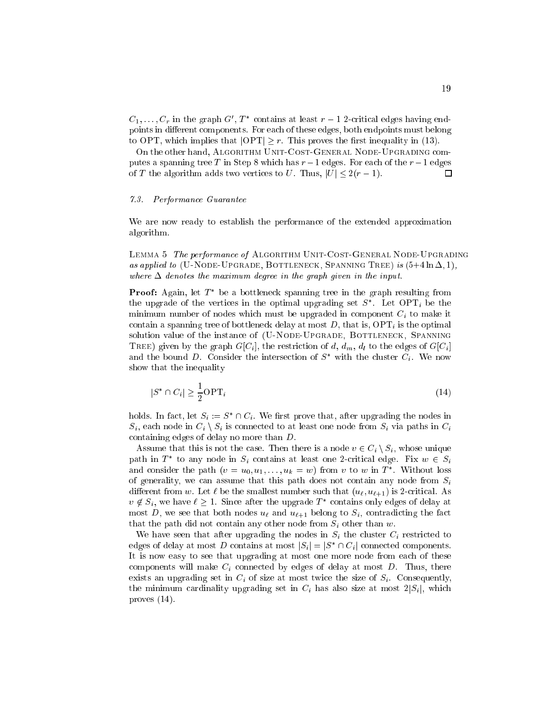$\cup_1,\ldots,\cup_r$  in the graph  $\cup$  ,  $I$  -contains at least  $r-1$  z-critical edges having endpoints in different components. For each of these edges, both endpoints must belong to OPT, which implies that  $|OPT| \geq r$ . This proves the first inequality in (13).

On the other hand, Algorithm Unit-Cost-General Node-Upgrading computes a spanning tree T in Step 8 which has  $r-1$  edges. For each of the  $r-1$  edges of T the algorithm adds two vertices to U. Thus,  $|U| \leq 2(r - 1)$ . □

#### $7.3.$ 7.3. Performance Guarantee

We are now ready to establish the performance of the extended approximation algorithm.

LEMMA 5 The performance of ALGORITHM UNIT-COST-GENERAL NODE-UPGRADING as applied to (U-NODE-UPGRADE, BOTTLENECK, SPANNING TREE) is  $(5+4 \ln \Delta, 1)$ , where  $\Delta$  denotes the maximum degree in the graph given in the input.

**Proof:** Again, let T be a bottleneck spanning tree in the graph resulting from the upgrade of the vertices in the optimal upgrading set  $S$  . Let  $\cup$ P $\bot_i$  be the minimum number of nodes which must be upgraded in component  $C_i$  to make it contain a spanning tree of bottleneck delay at most  $D$ , that is,  $\overline{OPT}_i$  is the optimal solution value of the instance of (U-NODE-UPGRADE, BOTTLENECK, SPANNING TREE) given by the graph  $G[C_i]$ , the restriction of d,  $d_m$ ,  $d_l$  to the edges of  $G[C_i]$ and the bound  $D$ . Consider the intersection of S with the cluster  $C_i$ . We now show that the inequality

$$
|S^* \cap C_i| \ge \frac{1}{2} \text{OPT}_i \tag{14}
$$

holds. In fact, let  $S_i := S \sqcup \cup_i$  we first prove that, after upgrading the nodes in  $S_i$ , each node in  $C_i \setminus S_i$  is connected to at least one node from  $S_i$  via paths in  $C_i$ containing edges of delay no more than D.

Assume that this is not the case. Then there is a node  $v \in C_i \setminus S_i$ , whose unique path in T to any node in  $S_i$  contains at least one Z-critical edge. Fix  $w \in S_i$ and consider the path  $(v = u_0, u_1, \ldots, u_k = w)$  from  $v$  to  $w$  in  $I$  . Without loss of generality, we can assume that this path does not contain any node from  $S_i$ different from w. Let  $\ell$  be the smallest number such that  $(u_{\ell}, u_{\ell+1})$  is 2-critical. As  $v \notin S_i$ , we have  $t \geq 1$ . Since after the upgrade T contains only edges of delay at most D, we see that both nodes  $u_{\ell}$  and  $u_{\ell+1}$  belong to  $S_i$ , contradicting the fact that the path did not contain any other node from  $S_i$  other than w.

We have seen that after upgrading the nodes in  $S_i$  the cluster  $C_i$  restricted to edges of delay at most  $D$  contains at most  $|S_i| = |S| + |C_i|$  connected components. It is now easy to see that upgrading at most one more node from each of these components will make  $C_i$  connected by edges of delay at most  $D$ . Thus, there exists an upgrading set in  $C_i$  of size at most twice the size of  $S_i$ . Consequently, the minimum cardinality upgrading set in  $C_i$  has also size at most  $2|S_i|$ , which proves (14).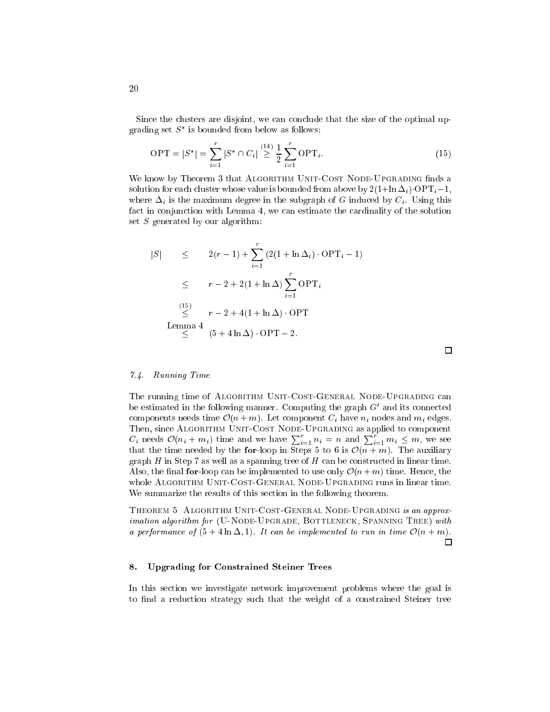Since the clusters are disjoint, we can conclude that the size of the optimal upgrading set  $S$  is bounded from below as follows:

$$
\text{OPT} = |S^*| = \sum_{i=1}^r |S^* \cap C_i| \stackrel{(14)}{\geq} \frac{1}{2} \sum_{i=1}^r \text{OPT}_i. \tag{15}
$$

We know by Theorem 3 that ALGORITHM UNIT-COST NODE-UPGRADING finds a solution for each cluster whose value is bounded from above by  $2(1+\ln \Delta_i)\cdot \text{OPT}_i-1$ , where  $\Delta_i$  is the maximum degree in the subgraph of G induced by  $C_i$ . Using this fact in conjunction with Lemma 4, we can estimate the cardinality of the solution set  $S$  generated by our algorithm:

$$
|S| \leq 2(r-1) + \sum_{i=1}^{r} (2(1 + \ln \Delta_i) \cdot \text{OPT}_i - 1)
$$
  
\n
$$
\leq r - 2 + 2(1 + \ln \Delta) \sum_{i=1}^{r} \text{OPT}_i
$$
  
\n
$$
\leq \sum_{i=1}^{(15)} (r - 2 + 4(1 + \ln \Delta) \cdot \text{OPT})
$$
  
\nLemma 4  
\n
$$
\leq (5 + 4 \ln \Delta) \cdot \text{OPT} - 2.
$$

### 7.4. Running Time

The running time of ALGORITHM UNIT-COST-GENERAL NODE-UPGRADING can be estimated in the following manner. Computing the graph G0 and its connected components needs time  $\mathcal{O}(n+m)$ . Let component  $C_i$  have  $n_i$  nodes and  $m_i$  edges. Then, since ALGORITHM UNIT-COST NODE-UPGRADING as applied to component  $C_i$  needs  $\mathcal{O}(n_i + m_i)$  time and we have  $\sum_{i=1}^r n_i = n$  and  $\sum_{i=1}^r m_i \leq m$ , we see that the time needed by the for-loop in Steps 5 to 6 is  $\mathcal{O}(n+m)$ . The auxiliary graph  $H$  in Step 7 as well as a spanning tree of  $H$  can be constructed in linear time. Also, the final for-loop can be implemented to use only  $\mathcal{O}(n+m)$  time. Hence, the whole Algorithm Unit-Cost-General Node-Upgrading runs in linear time. We summarize the results of this section in the following theorem.

THEOREM 5 ALGORITHM UNIT-COST-GENERAL NODE-UPGRADING is an approximation algorithm for (U-NODE-UPGRADE, BOTTLENECK, SPANNING TREE) with a performance of  $(5 + 4 \ln \Delta, 1)$ . It can be implemented to run in time  $\mathcal{O}(n + m)$ . П

#### 8. Upgrading for Constrained Steiner Trees

In this section we investigate network improvement problems where the goal is to find a reduction strategy such that the weight of a constrained Steiner tree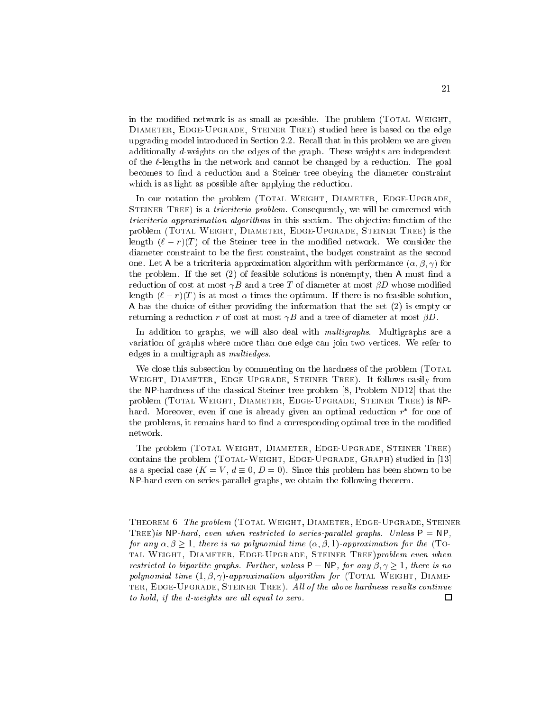in the modified network is as small as possible. The problem (TOTAL WEIGHT, DIAMETER, EDGE-UPGRADE, STEINER TREE) studied here is based on the edge upgrading model introduced in Section 2.2. Recall that in this problem we are given additionally d-weights on the edges of the graph. These weights are independent of the  $\ell$ -lengths in the network and cannot be changed by a reduction. The goal becomes to find a reduction and a Steiner tree obeying the diameter constraint which is as light as possible after applying the reduction.

In our notation the problem (TOTAL WEIGHT, DIAMETER, EDGE-UPGRADE, STEINER TREE) is a *tricriteria problem*. Consequently, we will be concerned with tricriteria approximation algorithms in this section. The ob jective function of the problem (Total Weight, Diameter, Edge-Upgrade, Steiner Tree) is the length  $(\ell - r)(T)$  of the Steiner tree in the modified network. We consider the diameter constraint to be the first constraint, the budget constraint as the second one. Let A be a tricriteria approximation algorithm with performance  $(\alpha, \beta, \gamma)$  for the problem. If the set  $(2)$  of feasible solutions is nonempty, then A must find a reduction of cost at most  $\gamma B$  and a tree T of diameter at most  $\beta D$  whose modified length  $(\ell - r)(T)$  is at most  $\alpha$  times the optimum. If there is no feasible solution, A has the choice of either providing the information that the set (2) is empty or returning a reduction r of cost at most  $\gamma B$  and a tree of diameter at most  $\beta D$ .

In addition to graphs, we will also deal with *multigraphs*. Multigraphs are a variation of graphs where more than one edge can join two vertices. We refer to edges in a multigraph as multiedges.

We close this subsection by commenting on the hardness of the problem (TOTAL) Weight, Diameter, Edge-Upgrade, Steiner Tree). It follows easily from the NP-hardness of the classical Steiner tree problem [8, Problem ND12] that the problem (Total Weight, Diameter, Edge-Upgrade, Steiner Tree) is NP- $\max$  moreover, even if one is afready given an optimal reduction  $r$  for one of the problems, it remains hard to find a corresponding optimal tree in the modified network.

The problem (Total Weight, Diameter, Edge-Upgrade, Steiner Tree) contains the problem (TOTAL-WEIGHT, EDGE-UPGRADE, GRAPH) studied in [13] as a special case  $(K = V, d \equiv 0, D = 0)$ . Since this problem has been shown to be NP-hard even on series-parallel graphs, we obtain the following theorem.

THEOREM 6 The problem (TOTAL WEIGHT, DIAMETER, EDGE-UPGRADE, STEINER TREE) is NP-hard, even when restricted to series-parallel graphs. Unless  $P = NP$ , for any  $\alpha, \beta \geq 1$ , there is no polynomial time  $(\alpha, \beta, 1)$ -approximation for the (Total Weight, Diameter, Edge-Upgrade, Steiner Tree)problem even when restricted to bipartite graphs. Further, unless  $P = NP$ , for any  $\beta, \gamma \geq 1$ , there is no polynomial time  $(1, \beta, \gamma)$ -approximation algorithm for (TOTAL WEIGHT, DIAME-TER, EDGE-UPGRADE, STEINER TREE). All of the above hardness results continue to hold, if the d-weights are all equal to zero. □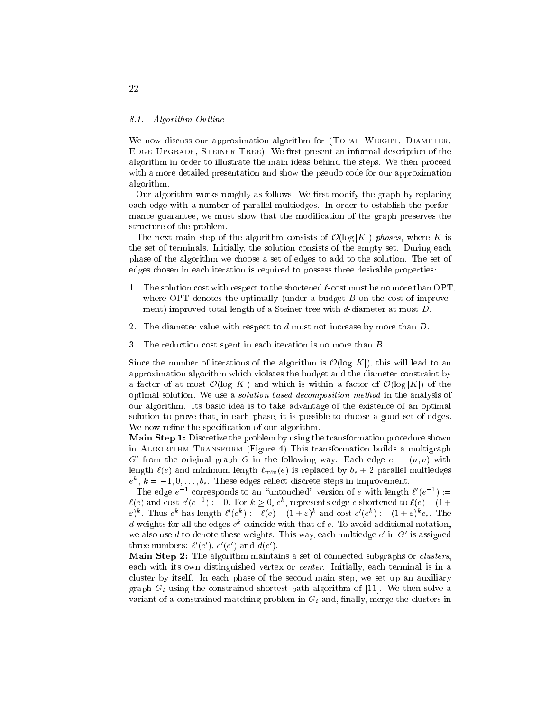#### 8.1. Algorithm Outline

We now discuss our approximation algorithm for (TOTAL WEIGHT, DIAMETER, EDGE-UPGRADE, STEINER TREE). We first present an informal description of the algorithm in order to illustrate the main ideas behind the steps. We then proceed with a more detailed presentation and show the pseudo code for our approximation algorithm.

Our algorithm works roughly as follows: We first modify the graph by replacing each edge with a number of parallel multiedges. In order to establish the performance guarantee, we must show that the modification of the graph preserves the structure of the problem.

The next main step of the algorithm consists of  $\mathcal{O}(\log |K|)$  phases, where K is the set of terminals. Initially, the solution consists of the empty set. During each phase of the algorithm we choose a set of edges to add to the solution. The set of edges chosen in each iteration is required to possess three desirable properties:

- 1. The solution cost with respect to the shortened  $\ell$ -cost must be no more than OPT. where OPT denotes the optimally (under a budget  $B$  on the cost of improvement) improved total length of a Steiner tree with d-diameter at most D.
- 2. The diameter value with respect to  $d$  must not increase by more than  $D$ .
- 3. The reduction cost spent in each iteration is no more than B.

Since the number of iterations of the algorithm is  $\mathcal{O}(\log |K|)$ , this will lead to an approximation algorithm which violates the budget and the diameter constraint by a factor of at most  $\mathcal{O}(\log |K|)$  and which is within a factor of  $\mathcal{O}(\log |K|)$  of the optimal solution. We use a solution based decomposition method in the analysis of our algorithm. Its basic idea is to take advantage of the existence of an optimal solution to prove that, in each phase, it is possible to choose a good set of edges. We now refine the specification of our algorithm.

Main Step 1: Discretize the problem by using the transformation procedure shown in Algorithm Transform (Figure 4) This transformation builds a multigraph G from the original graph G in the following way: Each edge  $e = (u, v)$  with length  $\ell(e)$  and minimum length  $\ell_{\min}(e)$  is replaced by  $b_e + 2$  parallel multiedges  $e^{\gamma}, \kappa = -1, 0, \ldots, \theta_e$ . These edges reflect discrete steps in improvement.

The edge  $e^{-\epsilon}$  corresponds to an untouched version of e with length  $\ell$  (e  $\epsilon$ ):=  $\ell(e)$  and cost  $c$  (e  $^{-}$ ) :  $=$  0. For  $\kappa > 0$ ,  $e^{\kappa}$ , represents edge e shortened to  $\ell(e) = (1 +$  $\varepsilon$ )". Thus e" has length  $\ell^-(e^+) := \ell(e) - (1 + \varepsilon)^+$  and cost  $c^-(e^+) := (1 + \varepsilon)^+ c_e$ . The  $a$ -weights for all the edges  $e^\alpha$  coincide with that of  $e$ . To avoid additional notation, we also use  $a$  to denote these weights. This way, each multiedge  $e$  in  $G$  is assigned three numbers:  $\ell$  (e ),  $c$  (e ) and  $a(e)$ .

Main Step 2: The algorithm maintains a set of connected subgraphs or *clusters*, each with its own distinguished vertex or center. Initially, each terminal is in a cluster by itself. In each phase of the second main step, we set up an auxiliary graph  $G_i$  using the constrained shortest path algorithm of [11]. We then solve a variant of a constrained matching problem in  $G_i$  and, finally, merge the clusters in

<sup>22</sup>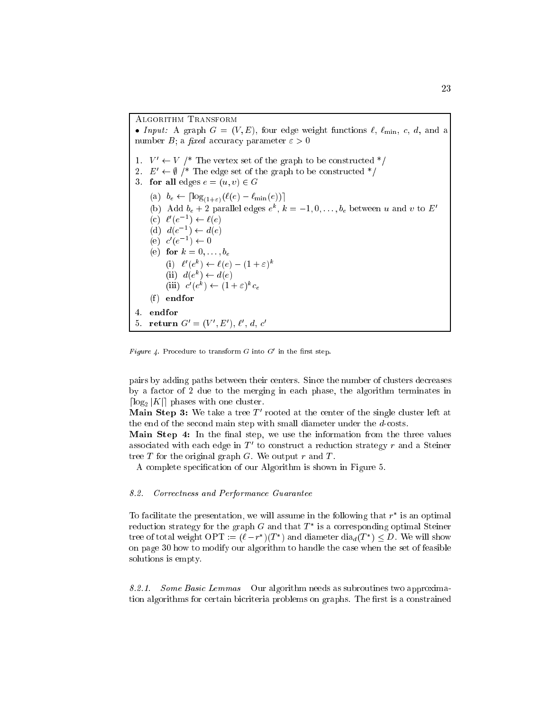Algorithm Transform Input: A graph <sup>G</sup> = (V ; E), four edge weight functions `, `min, c, d, and a number B; a fixed accuracy parameter  $\varepsilon > 0$ 1.  $V' \leftarrow V$  /\* The vertex set of the graph to be constructed \*/ 2.  $E' \leftarrow \emptyset$  /\* The edge set of the graph to be constructed \*/ 3. for all edges  $e = (u, v) \in G$ (a)  $b_e \leftarrow \lceil \log_{(1+\varepsilon)}(\ell(e) - \ell_{\min}(e)) \rceil$ (b) Add  $\theta_e + \angle$  parallel edges  $e^-, \kappa = -1, 0, \ldots, \theta_e$  between u and v to E  $(c) \ell$   $(e^{-}) \leftarrow \ell(e)$ (a)  $a(e^-) \leftarrow a(e)$  $(e)$   $c$   $(e -) \leftarrow 0$ (e) for  $k = 0, \ldots, b_e$  $(1)$   $\ell$   $(e^{\pi}) \leftarrow \ell$  $(e) = (1 + \epsilon)^{\pi}$  $(u, e^{\alpha}) \leftarrow u(e)$  $\text{Im}$ )  $c$  (e )  $\leftarrow$  (1 +  $\varepsilon$ )  $c_e$  $(f)$  endfor 4. endfor 5. return  $G = (V, E), \ell, a, c$ 

 $r$   $q$ ure  $q$ . Procedure to transform G into G  $\,$  in the first step.

pairs by adding paths between their centers. Since the number of clusters decreases by a factor of 2 due to the merging in each phase, the algorithm terminates in  $\lceil \log_2 |K| \rceil$  phases with one cluster.

**NET STEP 3:** We take a tree T frooted at the center of the single cluster left at the end of the second main step with small diameter under the d-costs.

Main Step 4: In the final step, we use the information from the three values associated with each edge in  $T_{\rm o}$  to construct a reduction strategy  $r$  and a Steiner tree  $T$  for the original graph  $G$ . We output  $r$  and  $T$ .

A complete specication of our Algorithm is shown in Figure 5.

#### 8.2. Correctness and Performance Guarantee

To facilitate the presentation, we will assume in the following that r is an optimal reduction strategy for the graph  $G$  and that  $T$  is a corresponding optimal Steiner tree of total weight OPT :=  $(t - T)$   $(T)$  and diameter dia $d(T) \leq D$ . We will show on page 30 how to modify our algorithm to handle the case when the set of feasible solutions is empty.

8.2.1. Some Basic Lemmas Our algorithm needs as subroutines two approximation algorithms for certain bicriteria problems on graphs. The first is a constrained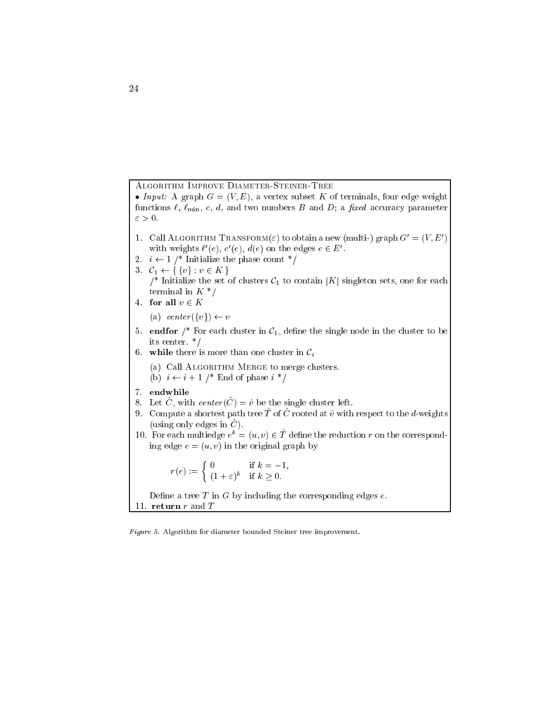Algorithm Improve Diameter-Steiner-Tree

In put  $\alpha$  and  $\alpha$  and  $\alpha$  are  $\alpha$  and  $\alpha$  is the terminal subset of  $\alpha$  and  $\alpha$  and  $\alpha$  is the subset of  $\alpha$ functions  $\ell$ ,  $\ell_{\min}$ , c, d, and two numbers B and D; a fixed accuracy parameter  $\varepsilon > 0$ .

- 1. Call ALGORITHM TRANSFORM( $\varepsilon$ ) to obtain a new (multi-) graph  $G_0 = (V, E_0)$ with weights  $\ell$  (e),  $c$  (e),  $a(e)$  on the edges  $e \in E$ .
- 2.  $i \leftarrow 1$  /\* Initialize the phase count \*/
- 3.  $C_1 \leftarrow \{\{v\} : v \in K\}$ /\* Initialize the set of clusters  $C_1$  to contain |K| singleton sets, one for each terminal in  $K^*/$
- 4. for all  $v \in K$ 
	- (a) center  $({v}) \leftarrow v$
- 5. endfor  $\frac{1}{2}$  For each cluster in  $\mathcal{C}_1$ , define the single node in the cluster to be its center. \*/
- 6. while there is more than one cluster in  $\mathcal{C}_i$ 
	- (a) Call ALGORITHM MERGE to merge clusters. (b)  $i \leftarrow i + 1$  /\* End of phase  $i *$ /
- 7. endwhile
- 8. Let  $\hat{C}$ , with center  $(\hat{C}) = \hat{v}$  be the single cluster left.
- 9. Compute a shortest path tree  $\hat{T}$  of  $\hat{C}$  rooted at  $\hat{v}$  with respect to the d-weights (using only edges in  $\hat{C}$ ).
- 10. For each multiedge  $e^+ = (u, v) \in T$  define the reduction r on the corresponding edge  $e = (u, v)$  in the original graph by

 $r(e) := \begin{cases} 0 & \text{if } k = -1, \\ 0 & \text{if } k = -1, \end{cases}$  $(1 + \varepsilon)^n$   $\Box$   $\kappa$   $\geq$  0.

Define a tree  $T$  in  $G$  by including the corresponding edges  $e$ . 11. return  $r$  and  $T$ 

Figure 5. Algorithm for diameter bounded Steiner tree improvement.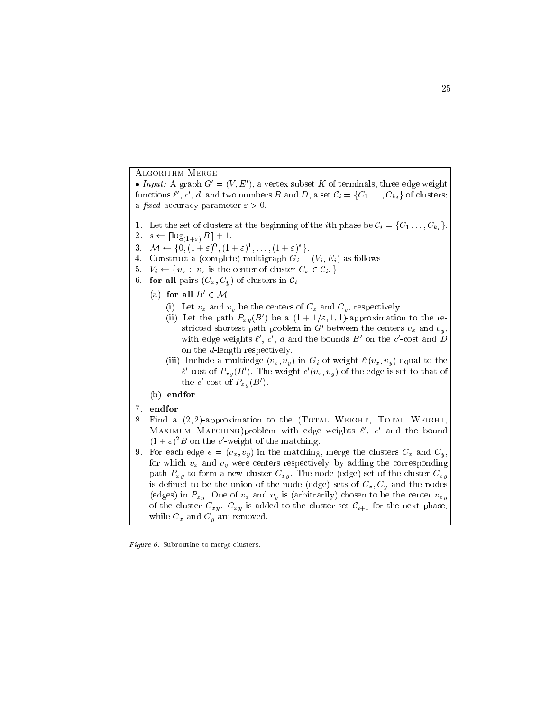Algorithm Merge

• *Input:* A graph  $G = (V, E)$ , a vertex subset A of terminals, three edge weight functions  $i, c, u$ , and two numbers  $D$  and  $D$ , a set  $C_i = \{C_1, \ldots, C_{k_i}\}$  of clusters; a *fixed* accuracy parameter  $\varepsilon > 0$ .

- 1. Let the set of clusters at the beginning of the *i*th phase be  $C_i = \{C_1, \ldots, C_{k_i}\}\$
- 2.  $s \leftarrow \lceil \log_{(1+\varepsilon)} B \rceil + 1.$
- $3. \quad \mathcal{M} \leftarrow \{0, (1 + \varepsilon)^{\frac{1}{2}}, (1 + \varepsilon)^{\frac{1}{2}}, \ldots, (1 + \varepsilon)^{\frac{1}{2}}\}.$
- 4. Construct a (complete) multigraph  $G_i = (V_i, E_i)$  as follows
- 5.  $V_i \leftarrow \{v_x : v_x \text{ is the center of cluster } C_x \in \mathcal{C}_i \}$
- 6. for all pairs  $(C_x, C_y)$  of clusters in  $\mathcal{C}_i$ 
	- (a) for all  $D \in \mathcal{M}$ 
		- (i) Let  $v_x$  and  $v_y$  be the centers of  $C_x$  and  $C_y$ , respectively.
		- (ii) Let the path  $P_{xy}$  (D ) be a (1 + 1/ $\varepsilon$ , 1, 1)-approximation to the restricted shortest path problem in G between the centers  $v_x$  and  $v_y$ , with edge weights  $\ell$  ,  $c$  ,  $a$  and the bounds  $B$  on the  $c$ -cost and  $D$ on the d-length respectively.
		- (iii) Include a multiedge  $(v_x, v_y)$  in  $G_i$  of weight  $\ell(v_x, v_y)$  equal to the  $v$  -cost of  $F_{xy}(D)$ . The weight  $c(v_x, v_y)$  of the edge is set to that of the  $c$  -cost of  $\Gamma_{x,y}(D)$  ).
	- (b) endfor
- 7. endfor
- 8. Find a  $(2, 2)$ -approximation to the (TOTAL WEIGHT, TOTAL WEIGHT, MAXIMUM MATCHING) problem with edge weights  $\ell$ ,  $c$  and the bound  $(1 + \varepsilon)^{-}$  on the c-weight of the matching.
- 9. For each edge  $e = (v_x, v_y)$  in the matching, merge the clusters  $C_x$  and  $C_y$ , for which  $v_x$  and  $v_y$  were centers respectively, by adding the corresponding path  $P_{xy}$  to form a new cluster  $C_{xy}$ . The node (edge) set of the cluster  $C_{xy}$ is defined to be the union of the node (edge) sets of  $C_x, C_y$  and the nodes (edges) in  $P_{xy}$ . One of  $v_x$  and  $v_y$  is (arbitrarily) chosen to be the center  $v_{xy}$ of the cluster  $C_{xy}$ .  $C_{xy}$  is added to the cluster set  $C_{i+1}$  for the next phase, while  $C_x$  and  $C_y$  are removed.

Figure 6. Subroutine to merge clusters.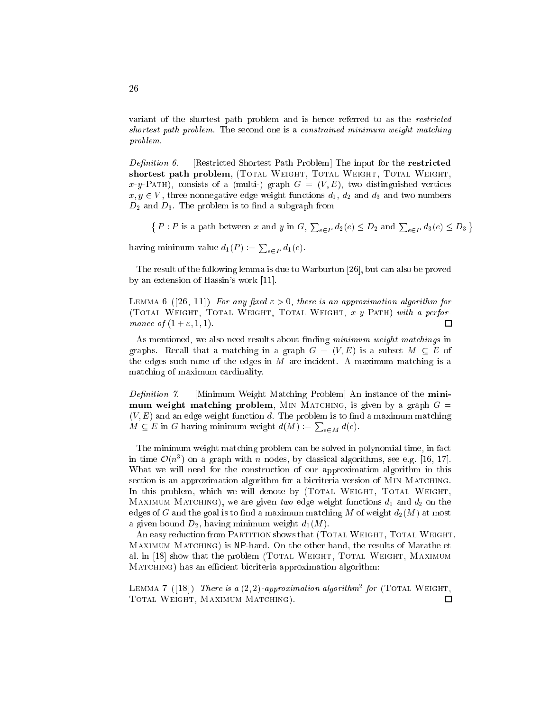variant of the shortest path problem and is hence referred to as the restricted shortest path problem. The second one is a constrained minimum weight matching problem.

Definition 6. [Restricted Shortest Path Problem] The input for the restricted shortest path problem, (TOTAL WEIGHT, TOTAL WEIGHT, TOTAL WEIGHT, x-y-PATH), consists of a (multi-) graph  $G = (V, E)$ , two distinguished vertices  $x, y \in V$ , three nonnegative edge weight functions  $d_1, d_2$  and  $d_3$  and two numbers  $D_2$  and  $D_3$ . The problem is to find a subgraph from

 $\{P : P \text{ is a path between } x \text{ and } y \text{ in } G, \sum_{e \in P} d_2(e) \leq D_2 \text{ and } \sum_{e \in P} d_3(e) \leq D_3\}$  $\sim$ having minimum value  $d_1(P) := \sum_{e \in P} d_1(e)$ .

The result of the following lemma is due to Warburton [26], but can also be proved by an extension of Hassin's work [11].

LEMMA 6 ([26, 11]) For any fixed  $\varepsilon > 0$ , there is an approximation algorithm for (Total Weight, Total Weight, Total Weight, x-y-Path) with a performance of  $(1 + \varepsilon, 1, 1)$ .  $\Box$ 

As mentioned, we also need results about finding minimum weight matchings in graphs. Recall that a matching in a graph  $G = (V, E)$  is a subset  $M \subseteq E$  of the edges such none of the edges in  $M$  are incident. A maximum matching is a matching of maximum cardinality.

Definition 7. [Minimum Weight Matching Problem] An instance of the minimum weight matching problem, MIN MATCHING, is given by a graph  $G =$  $(V, E)$  and an edge weight function d. The problem is to find a maximum matching  $M \subseteq E$  in G having minimum weight  $d(M) := \sum_{e \in M} d(e)$ .

The minimum weight matching problem can be solved in polynomial time, in fact in time  $\mathcal{O}(n^2)$  on a graph with  $n$  nodes, by classical algorithms, see e.g. [16, 17]. What we will need for the construction of our approximation algorithm in this section is an approximation algorithm for a bicriteria version of MIN MATCHING. In this problem, which we will denote by (TOTAL WEIGHT, TOTAL WEIGHT, MAXIMUM MATCHING), we are given two edge weight functions  $d_1$  and  $d_2$  on the edges of G and the goal is to find a maximum matching M of weight  $d_2(M)$  at most a given bound  $D_2$ , having minimum weight  $d_1(M)$ .

An easy reduction from PARTITION shows that (TOTAL WEIGHT, TOTAL WEIGHT, Maximum Matching) is NP-hard. On the other hand, the results of Marathe et al. in [18] show that the problem (TOTAL WEIGHT, TOTAL WEIGHT, MAXIMUM MATCHING) has an efficient bicriteria approximation algorithm:

LEMMA  $\ell$  ([10]) There is a (2, 2)-approximation algorithm<sup>-</sup> for (TOTAL WEIGHT, Total Weight, Maximum Matching). $\Box$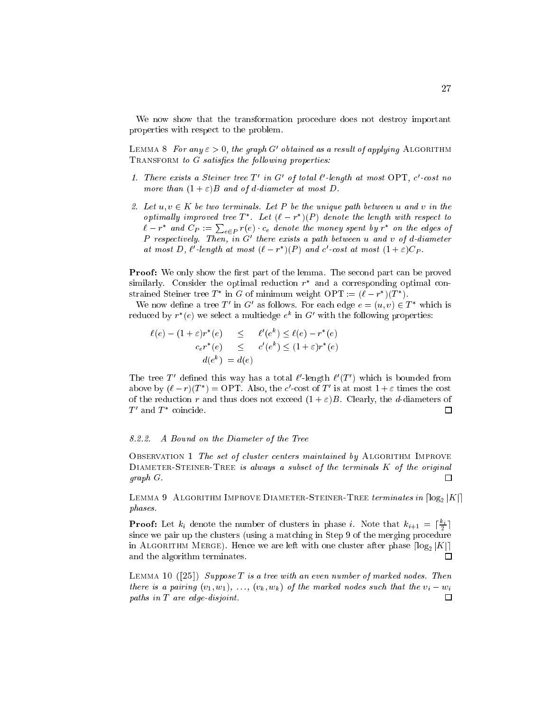We now show that the transformation procedure does not destroy important properties with respect to the problem.

LEMMA 8 For any  $\varepsilon > 0$ , the graph  $G$  -cotained as a result of applying Algorithm  $ext{TRANSFORM to } G \text{ satisfies the following properties: }$ 

- 1. There exists a Steiner tree  $I$  and  $\sigma$  of total  $\ell$ -tength at most  $\sigma_{\Gamma}$  i, c-cost no more than  $(1 + \varepsilon)B$  and of d-diameter at most D.
- 2. Let  $u, v \in K$  be two terminals. Let P be the unique path between u and v in the optimally improved tree 1 . Let  $(\ell - r_{\perp})(\Gamma)$  denote the length with respect to  $\ell - r^*$  and  $C_P := \sum_{e \in P} r(e) \cdot c_e$  denote the money spent by  $r^*$  on the edges of <sup>P</sup> respectively. Then, in G0 there exists a path between <sup>u</sup> and <sup>v</sup> of d-diameter at most  $D, v$  -tength at most  $(v - r_{\perp})(r)$  and c -cost at most  $(1 + \varepsilon) \cup p$ .

**Proof:** We only show the first part of the lemma. The second part can be proved  $\sin$  similarly. Consider the optimal reduction  $r$  and a corresponding optimal constrained Steiner tree T in G of minimum weight OPT  $:=(\ell-r)/T$ ).

We now define a tree T in G as follows. For each edge  $e = (u, v) \in T$  which is reduced by  $r$  (e) we select a multiedge  $e^-$  in  $\rm G$  with the following properties:

$$
\ell(e) - (1 + \varepsilon)r^*(e) \le \ell(e) - r^*(e)
$$
  

$$
c_e r^*(e) \le c'(e^k) \le (1 + \varepsilon)r^*(e)
$$
  

$$
d(e^k) = d(e)
$$

The tree 1 defined this way has a total  $\ell$ -length  $\ell$  (1) which is bounded from above by  $(t - T)(T) = 0$  i. Also, the c-cost of T is at most  $T + \varepsilon$  times the cost of the reduction r and thus does not exceed  $(1 + \varepsilon)B$ . Clearly, the d-diameters of  $\Box$ r and r coincide.

#### 8.2.2. 8.2.2. A Bound on the Diameter of the Tree

OBSERVATION 1 The set of cluster centers maintained by ALGORITHM IMPROVE  $D$ IAMETER-STEINER-TREE is always a subset of the terminals  $K$  of the original graph G.  $\Box$ 

LEMMA 9 ALGORITHM IMPROVE DIAMETER-STEINER-TREE terminates in  $\lceil \log_2 |K| \rceil$ phases.

**Proof:** Let  $\kappa_i$  denote the number of clusters in phase i. Note that  $\kappa_{i+1} = |\frac{1}{2}|$ – since we pair up the clusters (using a matching in Step 9 of the merging procedure in ALGORITHM MERGE). Hence we are left with one cluster after phase  $\lceil \log_2 |K| \rceil$ and the algorithm terminates. П

LEMMA 10  $(25)$  Suppose T is a tree with an even number of marked nodes. Then there is a pairing  $(v_1, w_1), \ldots, (v_k, w_k)$  of the marked nodes such that the  $v_i - w_i$ paths in <sup>T</sup> are edge-disjoint. $\Box$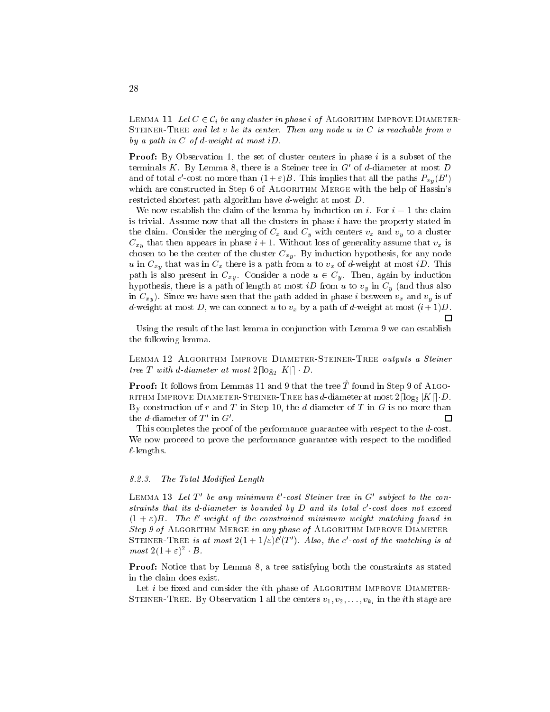LEMMA 11 Let  $C \in \mathcal{C}_i$  be any cluster in phase i of ALGORITHM IMPROVE DIAMETER-STEINER-TREE and let v be its center. Then any node u in  $C$  is reachable from v by a path in  $C$  of d-weight at most iD.

**Proof:** By Observation 1, the set of cluster centers in phase  $i$  is a subset of the terminals  $\kappa$  . By Lemma 8, there is a Steiner tree in  $\sigma$  or  $a$ -diameter at most  $D$ and of total c-cost no more than  $(1+\varepsilon)B$ . This implies that all the paths  $F_{x\bar y}(B^\circ)$ which are constructed in Step 6 of ALGORITHM MERGE with the help of Hassin's restricted shortest path algorithm have d-weight at most D.

We now establish the claim of the lemma by induction on i. For  $i = 1$  the claim is trivial. Assume now that all the clusters in phase  $i$  have the property stated in the claim. Consider the merging of  $C_x$  and  $C_y$  with centers  $v_x$  and  $v_y$  to a cluster  $C_{xy}$  that then appears in phase  $i + 1$ . Without loss of generality assume that  $v_x$  is chosen to be the center of the cluster  $C_{xy}$ . By induction hypothesis, for any node u in  $C_{xy}$  that was in  $C_x$  there is a path from u to  $v_x$  of d-weight at most iD. This path is also present in  $C_{xy}$ . Consider a node  $u \in C_y$ . Then, again by induction hypothesis, there is a path of length at most *iD* from *u* to  $v_y$  in  $C_y$  (and thus also in  $C_{xy}$ ). Since we have seen that the path added in phase i between  $v_x$  and  $v_y$  is of d-weight at most D, we can connect u to  $v_x$  by a path of d-weight at most  $(i+1)D$ . П

Using the result of the last lemma in conjunction with Lemma 9 we can establish the following lemma.

LEMMA 12 ALGORITHM IMPROVE DIAMETER-STEINER-TREE outputs a Steiner tree T with d-diameter at most  $2\lceil \log_2 |K| \rceil \cdot D$ .

**Proof:** It follows from Lemmas 11 and 9 that the tree  $\hat{T}$  found in Step 9 of ALGO-RITHM IMPROVE DIAMETER-STEINER-TREE has d-diameter at most  $2\lceil \log_2 |K| \rceil \cdot D$ . By construction of r and T in Step 10, the d-diameter of T in  $G$  is no more than П the  $a$ -diameter of  $I$   $\,$  III  $\sigma$  .

This completes the proof of the performance guarantee with respect to the d-cost. We now proceed to prove the performance guarantee with respect to the modified  $\ell$ -lengths.

#### 8.2.3. The Total Modified Length

 $L$ емм $A$  то  $L$ ет тое апутнититит  $t$  -cost Steiner tree in  $G$  -subject to the constraints that its a-aiameter is vounded by D and its total c-cost does not exceed  $(1 + \varepsilon)$ B. The  $\ell$  -weight of the constrained minimum weight matching found in Step 9 of ALGORITHM MERGE in any phase of ALGORITHM IMPROVE DIAMETER-STEINER-TREE is at most  $2(1 + 1/\varepsilon)\ell$  (1). Also, the c-cost of the matching is at  $most \angle(1 + \epsilon)^{-1} \cdot D$ .

**Proof:** Notice that by Lemma 8, a tree satisfying both the constraints as stated in the claim does exist.

Let  $i$  be fixed and consider the *i*th phase of ALGORITHM IMPROVE DIAMETER- $S$  . But the interaction  $S$  or  $S$  observation in the iteration is  $\{1, \ldots, \tau_k\}$  . The iteration  $S$  is an i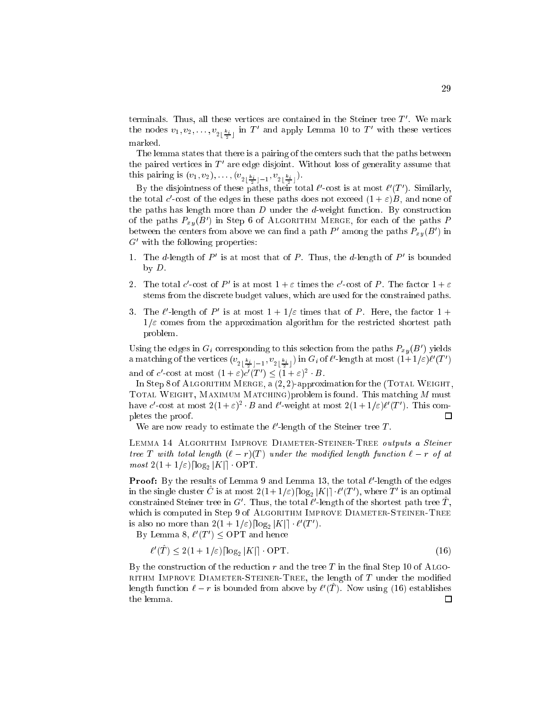$t$ erminals. Thus, all these vertices are contained in the Steiner tree  $I$  . We mark the nodes  $v_1, v_2, \ldots, v_{2 \lfloor \frac{k_i}{2} \rfloor}$  in  $I$  and apply Lemma 10 to  $I$  with these vertices marked.

The lemma states that there is a pairing of the centers such that the paths between the paired vertices in T are edge disjoint. Without loss of generality assume that this pairing is (v1) v2); : : ; ;  $\sum_{i=1}^{\infty}$   $\frac{1}{2}$   $\frac{1}{2}$   $\frac{1}{2}$   $\frac{1}{2}$   $\frac{1}{2}$   $\frac{1}{2}$ 

By the disjointness of these paths, their total  $\ell$  -cost is at most  $\ell$  (T ). Similarly, the total  $c$  -cost of the edges in these paths does not exceed  $(1 + \varepsilon)D$ , and none of the paths has length more than  $D$  under the  $d$ -weight function. By construction of the paths  $F_{xy}(B)$  in Step 6 of Algorithm Merge, for each of the paths  $P$ between the centers from above we can ling a path  $P$  among the paths  $P_{xy}(B)$  in  $G'$  with the following properties:

- 1. Ine a-length of P is at most that of P. Thus, the a-length of P is bounded by D.
- 2. I ne total c-cost of P is at most  $1+\varepsilon$  times the c-cost of P. The factor  $1+\varepsilon$ stems from the discrete budget values, which are used for the constrained paths.
- $3.$  The  $\ell$ -length of P is at most  $1 + 1/\varepsilon$  times that of P. Here, the factor  $1 +$  $1/\varepsilon$  comes from the approximation algorithm for the restricted shortest path problem.

Using the edges in  $G_i$  corresponding to this selection from the paths  $F_{xy}(B_1)$  yields a matching of the vertices  $(v_{2\lfloor \frac{k_i}{2} \rfloor-1},v_{2\lfloor \frac{k_i}{2} \rfloor})$  in  $\mathbf{G}_i$  of  $\ell$  -length at most  $(1+1/\varepsilon)\ell$   $(1-)$ and of c-cost at most  $(1 + \varepsilon)c(T)$   $(1 + \varepsilon)^{-1}$ .

In Step 8 of ALGORITHM MERGE,  $a(2, 2)$ -approximation for the (TOTAL WEIGHT, TOTAL WEIGHT, MAXIMUM MATCHING)problem is found. This matching  $M$  must have c-cost at most  $2(1 + \varepsilon)^{-1}$  b and c-weight at most  $2(1 + 1/\varepsilon)\ell$  (1). This completes the proof.  $\Box$ 

We are now ready to estimate the  $\ell$ -length of the Steiner tree  $I$ .

LEMMA 14 ALGORITHM IMPROVE DIAMETER-STEINER-TREE outputs a Steiner tree T with total length  $(\ell - r)(T)$  under the modified length function  $\ell - r$  of at most  $2(1+1/\varepsilon)$ [log<sub>2</sub> |K|] OPT.

**Proof:** By the results of Lemma 9 and Lemma 15, the total  $t$  -length of the edges in the single cluster  $C$  is at most  $2(1 + 1/\varepsilon) \log_2 |K|| \cdot \ell \ (I_-)$ , where T is an optimal constrained Steiner tree in  $G$  . Thus, the total  $\ell$  -length of the shortest path tree  $I$  , which is computed in Step 9 of ALGORITHM IMPROVE DIAMETER-STEINER-TREE is also no more than  $2(1 + 1/\varepsilon)$   $\log_2 |\mathbf{A}|$   $\leq$   $\ell$  (1).

 $\Delta y$  Lemma  $\delta, t \ (I) \setminus \text{OT I}$  and hence

$$
\ell'(T) \le 2(1+1/\varepsilon) \lceil \log_2 |K| \rceil \cdot \text{OPT}.\tag{16}
$$

By the construction of the reduction r and the tree T in the final Step 10 of ALGO-RITHM IMPROVE DIAMETER-STEINER-TREE, the length of  $T$  under the modified length function  $t - r$  is bounded from above by  $t + 1$ . Now using (16) establishes the lemma.口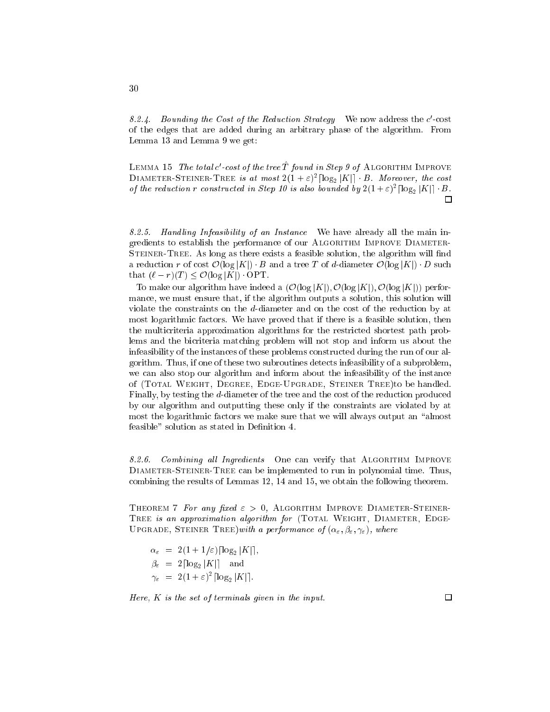$\delta z$  4. Dounaing the Cost of the Reduction Strategy we now address the c-cost of the edges that are added during an arbitrary phase of the algorithm. From Lemma 13 and Lemma 9 we get:

LEMMA TO The total  $c$  -cost of the tree I found in Step 9 of Algorithm Improve DIAMETER-STEINER-TREE is at most  $2(1+\epsilon)^{-}|\log_2|K|| \cdot B$ . Moreover, the cost by the reduction r constructed in Step 10 is also bounded by  $2(1 + \varepsilon)^{-1} \log_2 |\mathbf{A}| + \mathbf{B}$ .  $\Box$ 

8.2.5. Handling Infeasibility of an Instance We have already all the main ingredients to establish the performance of our ALGORITHM IMPROVE DIAMETER-STEINER-TREE. As long as there exists a feasible solution, the algorithm will find a reduction r of cost  $\mathcal{O}(\log |K|) \cdot B$  and a tree T of d-diameter  $\mathcal{O}(\log |K|) \cdot D$  such that  $(\ell - r)(T) \leq \mathcal{O}(\log |K|)$  OPT.

To make our algorithm have indeed a  $(\mathcal{O}(\log |K|), \mathcal{O}(\log |K|), \mathcal{O}(\log |K|))$  performance, we must ensure that, if the algorithm outputs a solution, this solution will violate the constraints on the d-diameter and on the cost of the reduction by at most logarithmic factors. We have proved that if there is a feasible solution, then the multicriteria approximation algorithms for the restricted shortest path problems and the bicriteria matching problem will not stop and inform us about the infeasibility of the instances of these problems constructed during the run of our algorithm. Thus, if one of these two subroutines detects infeasibility of a subproblem, we can also stop our algorithm and inform about the infeasibility of the instance of (Total Weight, Degree, Edge-Upgrade, Steiner Tree)to be handled. Finally, by testing the d-diameter of the tree and the cost of the reduction produced by our algorithm and outputting these only if the constraints are violated by at most the logarithmic factors we make sure that we will always output an "almost feasible" solution as stated in Definition 4.

8.2.6. Combining all Ingredients One can verify that ALGORITHM IMPROVE Diameter-Steiner-Tree can be implemented to run in polynomial time. Thus, combining the results of Lemmas 12, 14 and 15, we obtain the following theorem.

THEOREM 7 For any fixed  $\varepsilon > 0$ , ALGORITHM IMPROVE DIAMETER-STEINER-TREE is an approximation algorithm for (TOTAL WEIGHT, DIAMETER, EDGE-UPGRADE, STEINER TREE) with a performance of  $(\alpha_{\varepsilon}, \beta_{\varepsilon}, \gamma_{\varepsilon})$ , where

 $\alpha_{\varepsilon} = 2(1+1/\varepsilon)\lceil \log_2 |K| \rceil$ .  $\beta_{\varepsilon} = 2 \lceil \log_2 |K| \rceil$  and  $\gamma_{\varepsilon} = 2(1+\varepsilon)^{-} |\log_2 |\mathbf{\Lambda}| |$ .

Here,  $K$  is the set of terminals given in the input.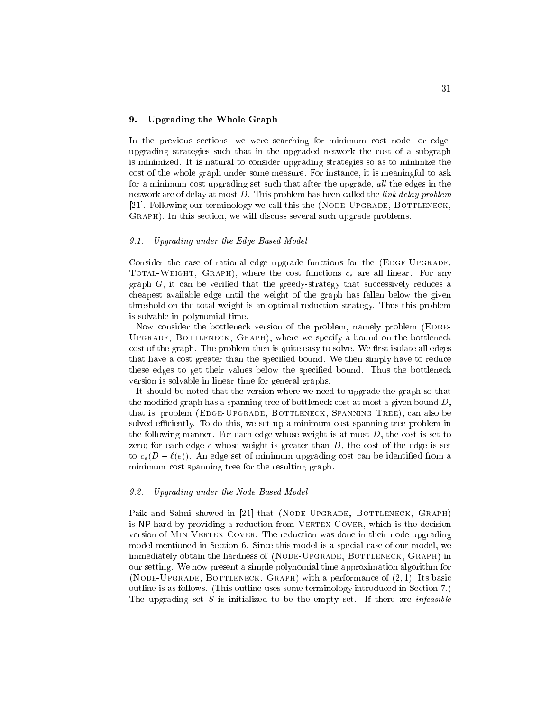### 9. Upgrading the Whole Graph

In the previous sections, we were searching for minimum cost node- or edgeupgrading strategies such that in the upgraded network the cost of a subgraph is minimized. It is natural to consider upgrading strategies so as to minimize the cost of the whole graph under some measure. For instance, it is meaningful to ask for a minimum cost upgrading set such that after the upgrade, all the edges in the network are of delay at most D. This problem has been called the link delay problem [21]. Following our terminology we call this the (NODE-UPGRADE, BOTTLENECK, GRAPH). In this section, we will discuss several such upgrade problems.

#### 9.1. Upgrading under the Edge Based Model

Consider the case of rational edge upgrade functions for the (EDGE-UPGRADE, TOTAL-WEIGHT, GRAPH), where the cost functions  $c_e$  are all linear. For any graph  $G$ , it can be verified that the greedy-strategy that successively reduces a cheapest available edge until the weight of the graph has fallen below the given threshold on the total weight is an optimal reduction strategy. Thus this problem is solvable in polynomial time.

Now consider the bottleneck version of the problem, namely problem (EDGE-Upgrade, Bottleneck, Graph), where we specify a bound on the bottleneck cost of the graph. The problem then is quite easy to solve. We first isolate all edges that have a cost greater than the specified bound. We then simply have to reduce these edges to get their values below the specied bound. Thus the bottleneck version is solvable in linear time for general graphs.

It should be noted that the version where we need to upgrade the graph so that the modified graph has a spanning tree of bottleneck cost at most a given bound  $D$ , that is, problem (EDGE-UPGRADE, BOTTLENECK, SPANNING TREE), can also be solved efficiently. To do this, we set up a minimum cost spanning tree problem in the following manner. For each edge whose weight is at most  $D$ , the cost is set to zero; for each edge  $e$  whose weight is greater than  $D$ , the cost of the edge is set to  $c_e(D - \ell(e))$ . An edge set of minimum upgrading cost can be identified from a minimum cost spanning tree for the resulting graph.

#### 9.2. Upgrading under the Node Based Model

Paik and Sahni showed in [21] that (NODE-UPGRADE, BOTTLENECK, GRAPH) is NP-hard by providing a reduction from VERTEX COVER, which is the decision version of MIN VERTEX COVER. The reduction was done in their node upgrading model mentioned in Section 6. Since this model is a special case of our model, we immediately obtain the hardness of (NODE-UPGRADE, BOTTLENECK, GRAPH) in our setting. We now present a simple polynomial time approximation algorithm for (NODE-UPGRADE, BOTTLENECK,  $G$ RAPH) with a performance of  $(2, 1)$ . Its basic outline is as follows. (This outline uses some terminology introduced in Section 7.) The upgrading set S is initialized to be the empty set. If there are *infeasible*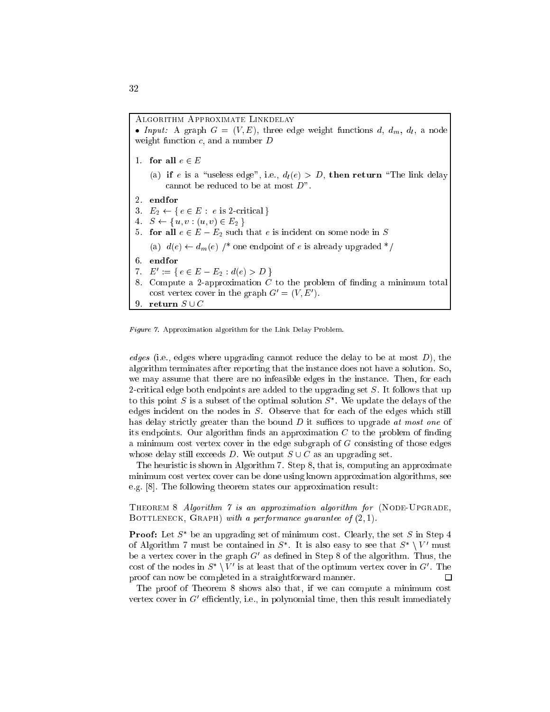Algorithm Approximate Linkdelay Input: <sup>A</sup> graph <sup>G</sup> <sup>=</sup> (V ; E), three edge weight functions d, dm, dl , <sup>a</sup> node weight function  $c$ , and a number  $D$ 1. for all  $e \in E$ (a) if e is a "useless edge", i.e.,  $d_l(e) > D$ , then return "The link delay cannot be reduced to be at most D". 3.  $E_2 \leftarrow \{ e \in E : e \text{ is } 2\text{-critical } \}$ 4.  $S \leftarrow \{u, v : (u, v) \in E_2\}$ 5. for all  $e \in E - E_2$  such that e is incident on some node in S (a)  $d(e) \leftarrow d_m(e)$  /\* one endpoint of e is already upgraded \*/ 6. endfor  $I \quad E := \{ e \in E - E_2 : a(e) > D \}$ 8. Compute a 2-approximation  $C$  to the problem of finding a minimum total cost vertex cover in the graph  $G = (V, E)$ . 9 return  $S \cup C$ 

Figure 7. Approximation algorithm for the Link Delay Problem.

*edges* (i.e., edges where upgrading cannot reduce the delay to be at most  $D$ ), the algorithm terminates after reporting that the instance does not have a solution. So, we may assume that there are no infeasible edges in the instance. Then, for each 2-critical edge both endpoints are added to the upgrading set  $S$ . It follows that up to this point  $S$  is a subset of the optimal solution  $S$  . We update the delays of the edges incident on the nodes in  $S$ . Observe that for each of the edges which still has delay strictly greater than the bound  $D$  it suffices to upgrade at most one of its endpoints. Our algorithm finds an approximation  $C$  to the problem of finding a minimum cost vertex cover in the edge subgraph of <sup>G</sup> consisting of those edges whose delay still exceeds D. We output  $S \cup C$  as an upgrading set.

The heuristic is shown in Algorithm 7. Step 8, that is, computing an approximate minimum cost vertex cover can be done using known approximation algorithms, see e.g. [8]. The following theorem states our approximation result:

THEOREM 8 Algorithm  $\gamma$  is an approximation algorithm for (NODE-UPGRADE, BOTTLENECK,  $GRAPH$ ) with a performance guarantee of  $(2, 1)$ .

**Proof:** Let  $S$  be an upgrading set of minimum cost. Clearly, the set  $S$  in Step 4 of Algorithm 7 must be contained in  $S$  . It is also easy to see that  $S \to V$  must be a vertex cover in the graph G0 as dened in Step 8 of the algorithm. Thus, the cost of the nodes in  $S \setminus V$  is at least that of the optimum vertex cover in  $G$  . The proof can now be completed in a straightforward manner.  $\Box$ 

The proof of Theorem 8 shows also that, if we can compute a minimum cost vertex cover in G-eniclently, i.e., in polynomial time, then this result immediately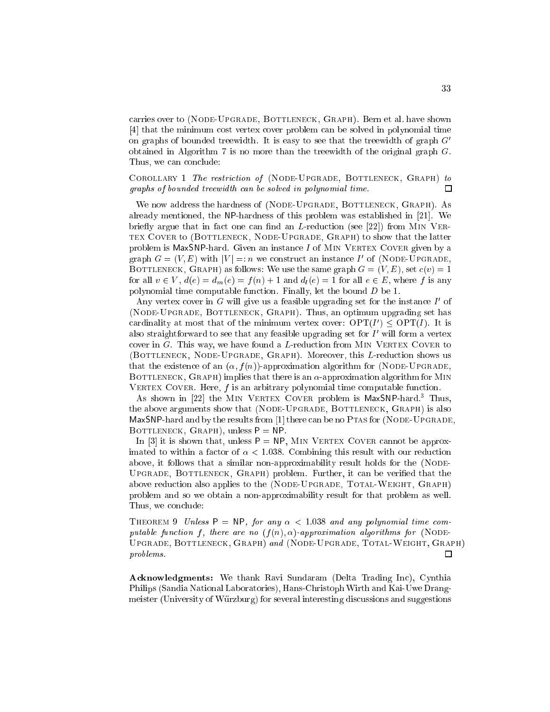carries over to (NODE-UPGRADE, BOTTLENECK, GRAPH). Bern et al. have shown [4] that the minimum cost vertex cover problem can be solved in polynomial time on graphs of bounded treewidth. It is easy to see that the treewidth of graph  $G'$ obtained in Algorithm 7 is no more than the treewidth of the original graph G. Thus, we can conclude:

COROLLARY 1 The restriction of (NODE-UPGRADE, BOTTLENECK, GRAPH) to graphs of bounded treewidth can be solved in polynomial time.  $\Box$ 

We now address the hardness of (NODE-UPGRADE, BOTTLENECK, GRAPH). As already mentioned, the NP-hardness of this problem was established in [21]. We briefly argue that in fact one can find an  $L$ -reduction (see [22]) from MIN VERtex Cover to (Bottleneck, Node-Upgrade, Graph) to show that the latter problem is MaxSNP-hard. Given an instance  $I$  of MIN VERTEX COVER given by a graph  $G = (V, E)$  with  $|V| =: n$  we construct an instance I of (NODE-UPGRADE, BOTTLENECK, GRAPH) as follows: We use the same graph  $G = (V, E)$ , set  $c(v) = 1$ for all  $v \in V$ ,  $d(e) = d_m(e) = f(n) + 1$  and  $d_l(e) = 1$  for all  $e \in E$ , where f is any polynomial time computable function. Finally, let the bound <sup>D</sup> be 1.

Any vertex cover in G will give us a feasible upgrading set for the instance  $I$  of (Node-Upgrade, Bottleneck, Graph). Thus, an optimum upgrading set has cardinality at most that of the minimum vertex cover: OPT(I)  $>$  OPT(I). It is also straightforward to see that any reasible upgrading set for  $I$  will form a vertex cover in  $G$ . This way, we have found a L-reduction from MIN VERTEX COVER to (BOTTLENECK, NODE-UPGRADE, GRAPH). Moreover, this L-reduction shows us that the existence of an  $(\alpha, f(n))$ -approximation algorithm for (NODE-UPGRADE, BOTTLENECK,  $G_{\rm RAPH}$ ) implies that there is an  $\alpha$ -approximation algorithm for MIN VERTEX COVER. Here,  $f$  is an arbitrary polynomial time computable function.

As shown in [22] the MIN VERTEX COVER problem is MaxSNP-hard.<sup>3</sup> Thus, the above arguments show that (NODE-UPGRADE, BOTTLENECK, GRAPH) is also MaxSNP-hard and by the results from [1] there can be no PTAs for (NODE-UPGRADE, BOTTLENECK, GRAPH), unless  $P = NP$ .

In [3] it is shown that, unless  $P = NP$ , MIN VERTEX COVER cannot be approximated to within a factor of  $\alpha < 1.038$ . Combining this result with our reduction above, it follows that a similar non-approximability result holds for the (NODE-Upgrade, Bottleneck, Graph) problem. Further, it can be veried that the above reduction also applies to the (NODE-UPGRADE, TOTAL-WEIGHT, GRAPH) problem and so we obtain a non-approximability result for that problem as well. Thus, we conclude:

THEOREM 9 Unless  $P = NP$ , for any  $\alpha < 1.038$  and any polynomial time computable function f, there are no  $(f(n), \alpha)$ -approximation algorithms for (NODE-Upgrade, Bottleneck, Graph) and (Node-Upgrade, Total-Weight, Graph) problems.  $\Box$ 

Acknowledgments: We thank Ravi Sundaram (Delta Trading Inc), Cynthia Philips (Sandia National Laboratories), Hans-Christoph Wirth and Kai-Uwe Drangmeister (University of Wurzburg) for several interesting discussions and suggestions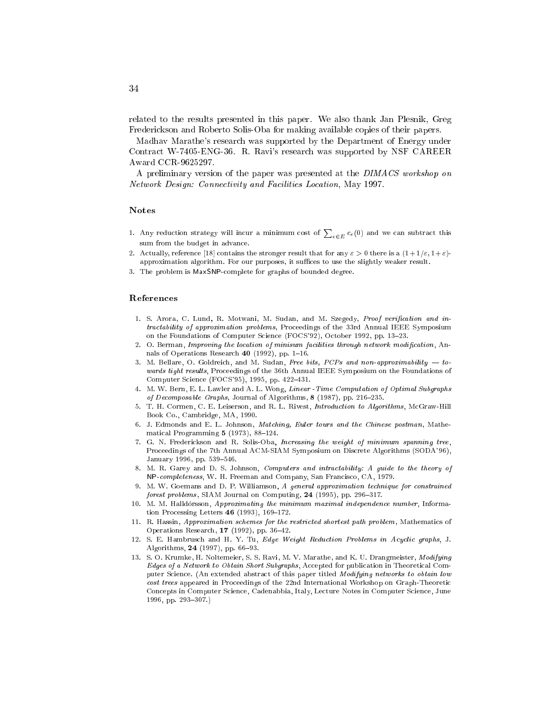related to the results presented in this paper. We also thank Jan Plesnik, Greg Frederickson and Roberto Solis-Oba for making available copies of their papers.

Madhav Marathe's research was supported by the Department of Energy under Contract W-7405-ENG-36. R. Ravi's research was supported by NSF CAREER Award CCR-9625297.

A preliminary version of the paper was presented at the DIMACS workshop on Network Design: Connectivity and Facilities Location, May 1997.

#### **Notes**

- 1. Any reduction strategy will incur a minimum cost of  $\sum_{e \in E} c_e(0)$  and we can subtract this sum from the budget in advance.
- 2. Actually, reference [18] contains the stronger result that for any  $\varepsilon > 0$  there is a  $(1 + 1/\varepsilon, 1 + \varepsilon)$ approximation algorithm. For our purposes, it suffices to use the slightly weaker result.
- 3. The problem is MaxSNP-complete for graphs of bounded degree.

#### References

- 1. S. Arora, C. Lund, R. Motwani, M. Sudan, and M. Szegedy, Proof verification and intractability of approximation problems, Proceedings of the 33rd Annual IEEE Symposium on the Foundations of Computer Science (FOCS'92), October 1992, pp. 13-23.
- 2. O. Berman, Improving the location of minisum facilities through network modification, Annals of Operations Research  $40$  (1992), pp. 1-16.
- 3. M. Bellare, O. Goldreich, and M. Sudan, Free bits,  $PCPs$  and non-approximability  $-$  towards tight results, Proceedings of the 36th Annual IEEE Symposium on the Foundations of Computer Science (FOCS'95), 1995, pp. 422-431.
- 4. M. W. Bern, E. L. Lawler and A. L. Wong, Linear -Time Computation of Optimal Subgraphs of Decomposable Graphs, Journal of Algorithms,  $8$  (1987), pp. 216-235.
- 5. T. H. Cormen, C. E. Leiserson, and R. L. Rivest, Introduction to Algorithms, McGraw-Hill Book Co., Cambridge, MA, 1990.
- 6. J. Edmonds and E. L. Johnson, Matching, Euler tours and the Chinese postman, Mathematical Programming  $5$  (1973), 88-124.
- 7. G. N. Frederickson and R. Solis-Oba, Increasing the weight of minimum spanning tree, Proceedings of the 7th Annual ACM-SIAM Symposium on Discrete Algorithms (SODA'96), January 1996, pp. 539-546.
- 8. M. R. Garey and D. S. Johnson, Computers and intractability: A guide to the theory of NP-completeness, W. H. Freeman and Company, San Francisco, CA, 1979.
- 9. M. W. Goemans and D. P. Williamson, A general approximation technique for constrained forest problems, SIAM Journal on Computing,  $24$  (1995), pp. 296-317.
- 10. M. M. Halldórsson, Approximating the minimum maximal independence number, Information Processing Letters  $46$  (1993), 169-172.
- 11. R. Hassin, Approximation schemes for the restricted shortest path problem, Mathematics of Operations Research,  $17$  (1992), pp. 36-42.
- 12. S. E. Hambrusch and H. Y. Tu, Edge Weight Reduction Problems in Acyclic graphs, J. Algorithms, 24 (1997), pp. 66-93.
- 13. S. O. Krumke, H. Noltemeier, S. S. Ravi, M. V. Marathe, and K. U. Drangmeister, Modifying Edges of a Network to Obtain Short Subgraphs, Accepted for publication in Theoretical Computer Science. (An extended abstract of this paper titled Modifying networks to obtain low cost trees appeared in Proceedings of the 22nd International Workshop on Graph-Theoretic Concepts in Computer Science, Cadenabbia, Italy, Lecture Notes in Computer Science, June 1996, pp. 293-307.)